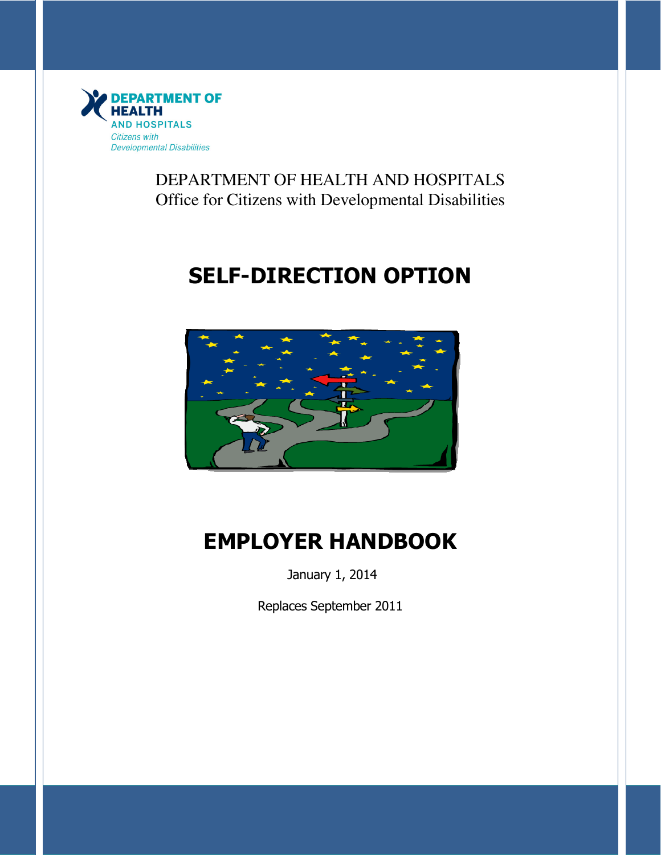

DEPARTMENT OF HEALTH AND HOSPITALS Office for Citizens with Developmental Disabilities

# SELF-DIRECTION OPTION



# EMPLOYER HANDBOOK

January 1, 2014

Replaces September 2011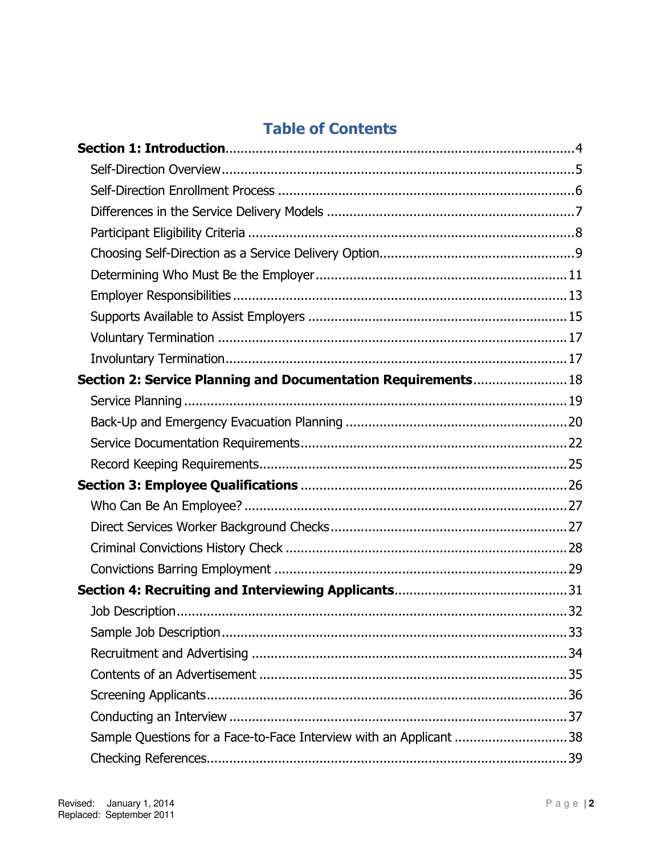# **Table of Contents**

| Section 2: Service Planning and Documentation Requirements 18      |  |
|--------------------------------------------------------------------|--|
|                                                                    |  |
|                                                                    |  |
|                                                                    |  |
|                                                                    |  |
|                                                                    |  |
|                                                                    |  |
|                                                                    |  |
|                                                                    |  |
|                                                                    |  |
|                                                                    |  |
|                                                                    |  |
|                                                                    |  |
|                                                                    |  |
|                                                                    |  |
|                                                                    |  |
|                                                                    |  |
| Sample Questions for a Face-to-Face Interview with an Applicant 38 |  |
|                                                                    |  |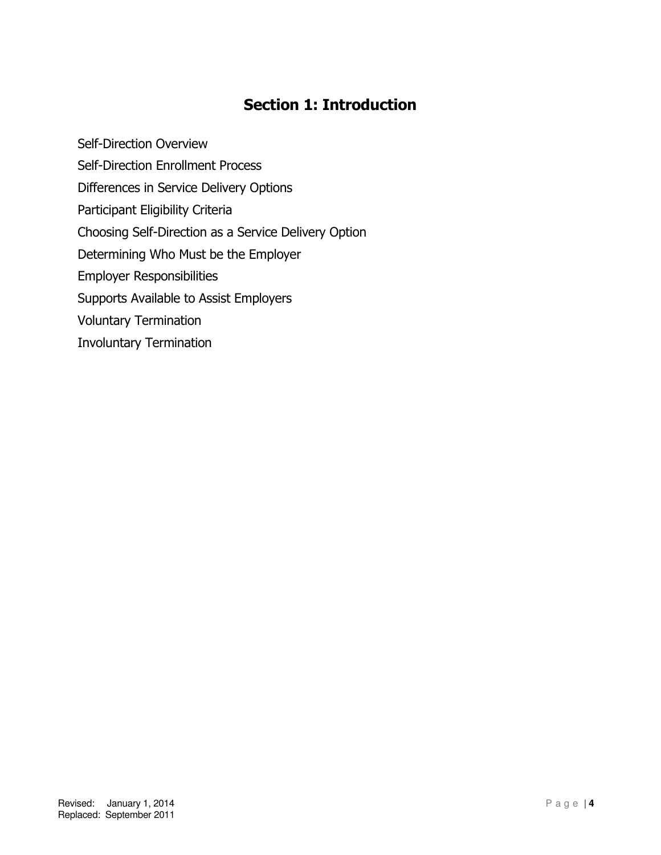# Section 1: Introduction

Self-Direction Overview Self-Direction Enrollment Process Differences in Service Delivery Options Participant Eligibility Criteria Choosing Self-Direction as a Service Delivery Option Determining Who Must be the Employer Employer Responsibilities Supports Available to Assist Employers Voluntary Termination Involuntary Termination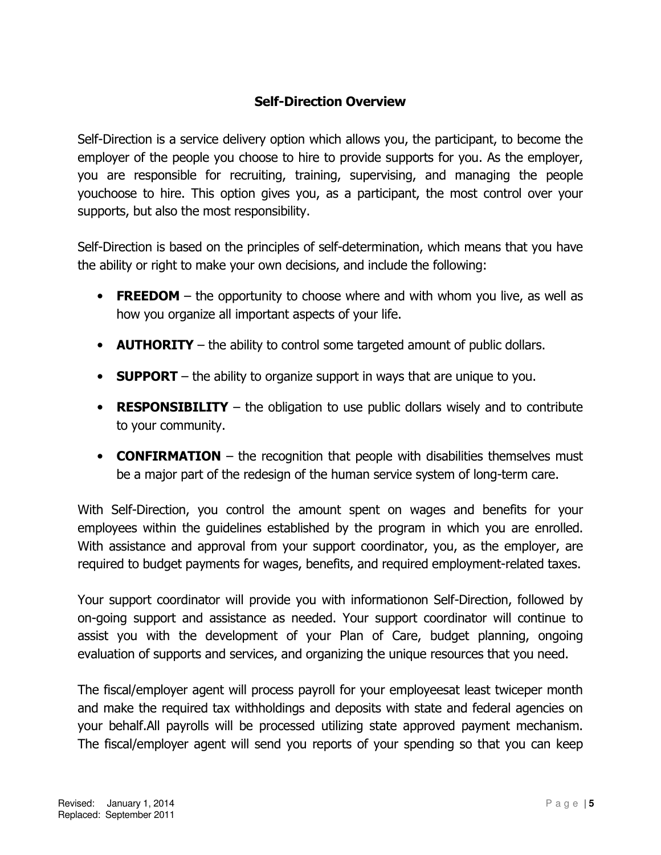# Self-Direction Overview

Self-Direction is a service delivery option which allows you, the participant, to become the employer of the people you choose to hire to provide supports for you. As the employer, you are responsible for recruiting, training, supervising, and managing the people youchoose to hire. This option gives you, as a participant, the most control over your supports, but also the most responsibility.

Self-Direction is based on the principles of self-determination, which means that you have the ability or right to make your own decisions, and include the following:

- **FREEDOM** the opportunity to choose where and with whom you live, as well as how you organize all important aspects of your life.
- **AUTHORITY** the ability to control some targeted amount of public dollars.
- **SUPPORT** the ability to organize support in ways that are unique to you.
- **RESPONSIBILITY** the obligation to use public dollars wisely and to contribute to your community.
- **CONFIRMATION** the recognition that people with disabilities themselves must be a major part of the redesign of the human service system of long-term care.

With Self-Direction, you control the amount spent on wages and benefits for your employees within the guidelines established by the program in which you are enrolled. With assistance and approval from your support coordinator, you, as the employer, are required to budget payments for wages, benefits, and required employment-related taxes.

Your support coordinator will provide you with informationon Self-Direction, followed by on-going support and assistance as needed. Your support coordinator will continue to assist you with the development of your Plan of Care, budget planning, ongoing evaluation of supports and services, and organizing the unique resources that you need.

The fiscal/employer agent will process payroll for your employeesat least twiceper month and make the required tax withholdings and deposits with state and federal agencies on your behalf.All payrolls will be processed utilizing state approved payment mechanism. The fiscal/employer agent will send you reports of your spending so that you can keep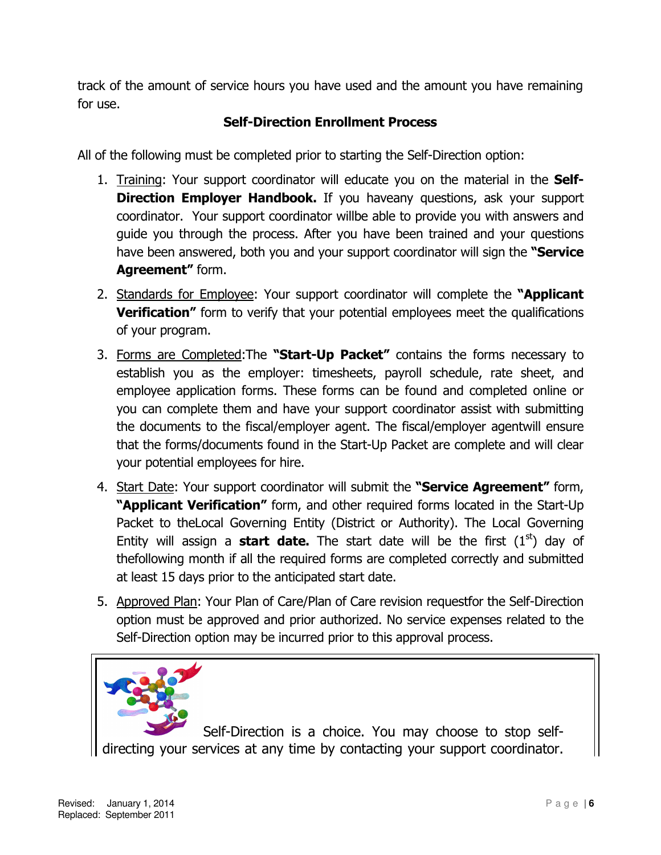track of the amount of service hours you have used and the amount you have remaining for use.

# Self-Direction Enrollment Process

All of the following must be completed prior to starting the Self-Direction option:

- 1. Training: Your support coordinator will educate you on the material in the **Self-Direction Employer Handbook.** If you haveany questions, ask your support coordinator. Your support coordinator willbe able to provide you with answers and guide you through the process. After you have been trained and your questions have been answered, both you and your support coordinator will sign the "**Service** Agreement" form.
- 2. Standards for Employee: Your support coordinator will complete the "Applicant **Verification"** form to verify that your potential employees meet the qualifications of your program.
- 3. Forms are Completed: The "Start-Up Packet" contains the forms necessary to establish you as the employer: timesheets, payroll schedule, rate sheet, and employee application forms. These forms can be found and completed online or you can complete them and have your support coordinator assist with submitting the documents to the fiscal/employer agent. The fiscal/employer agentwill ensure that the forms/documents found in the Start-Up Packet are complete and will clear your potential employees for hire.
- 4. Start Date: Your support coordinator will submit the "Service Agreement" form, "**Applicant Verification"** form, and other required forms located in the Start-Up Packet to theLocal Governing Entity (District or Authority). The Local Governing Entity will assign a **start date.** The start date will be the first  $(1<sup>st</sup>)$  day of thefollowing month if all the required forms are completed correctly and submitted at least 15 days prior to the anticipated start date.
- 5. Approved Plan: Your Plan of Care/Plan of Care revision requestfor the Self-Direction option must be approved and prior authorized. No service expenses related to the Self-Direction option may be incurred prior to this approval process.



Self-Direction is a choice. You may choose to stop selfdirecting your services at any time by contacting your support coordinator.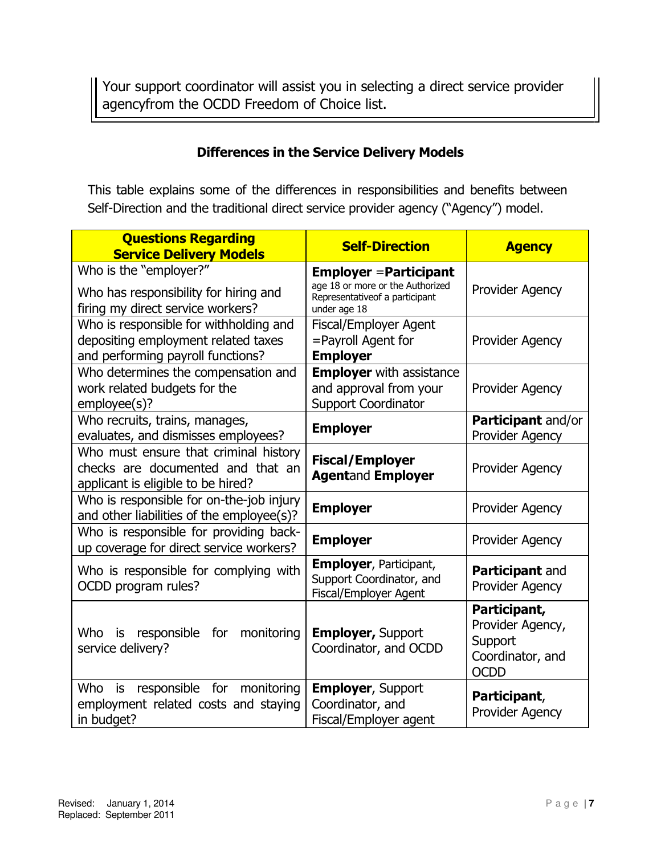Your support coordinator will assist you in selecting a direct service provider agencyfrom the OCDD Freedom of Choice list.

### Differences in the Service Delivery Models

This table explains some of the differences in responsibilities and benefits between Self-Direction and the traditional direct service provider agency ("Agency") model.

| <b>Questions Regarding</b><br><b>Service Delivery Models</b>                                                       | <b>Self-Direction</b>                                                                                               | <b>Agency</b>                                                                  |
|--------------------------------------------------------------------------------------------------------------------|---------------------------------------------------------------------------------------------------------------------|--------------------------------------------------------------------------------|
| Who is the "employer?"<br>Who has responsibility for hiring and<br>firing my direct service workers?               | <b>Employer = Participant</b><br>age 18 or more or the Authorized<br>Representativeof a participant<br>under age 18 | Provider Agency                                                                |
| Who is responsible for withholding and<br>depositing employment related taxes<br>and performing payroll functions? | <b>Fiscal/Employer Agent</b><br>=Payroll Agent for<br><b>Employer</b>                                               | Provider Agency                                                                |
| Who determines the compensation and<br>work related budgets for the<br>employee(s)?                                | <b>Employer</b> with assistance<br>and approval from your<br><b>Support Coordinator</b>                             | Provider Agency                                                                |
| Who recruits, trains, manages,<br>evaluates, and dismisses employees?                                              | <b>Employer</b>                                                                                                     | Participant and/or<br>Provider Agency                                          |
| Who must ensure that criminal history<br>checks are documented and that an<br>applicant is eligible to be hired?   | <b>Fiscal/Employer</b><br><b>Agentand Employer</b>                                                                  | Provider Agency                                                                |
| Who is responsible for on-the-job injury<br>and other liabilities of the employee(s)?                              | <b>Employer</b>                                                                                                     | Provider Agency                                                                |
| Who is responsible for providing back-<br>up coverage for direct service workers?                                  | <b>Employer</b>                                                                                                     | Provider Agency                                                                |
| Who is responsible for complying with<br>OCDD program rules?                                                       | <b>Employer, Participant,</b><br>Support Coordinator, and<br>Fiscal/Employer Agent                                  | Participant and<br>Provider Agency                                             |
| Who is responsible<br>for<br>monitoring<br>service delivery?                                                       | <b>Employer, Support</b><br>Coordinator, and OCDD                                                                   | Participant,<br>Provider Agency,<br>Support<br>Coordinator, and<br><b>OCDD</b> |
| Who<br>responsible for monitoring<br>is<br>employment related costs and staying<br>in budget?                      | <b>Employer, Support</b><br>Coordinator, and<br>Fiscal/Employer agent                                               | Participant,<br>Provider Agency                                                |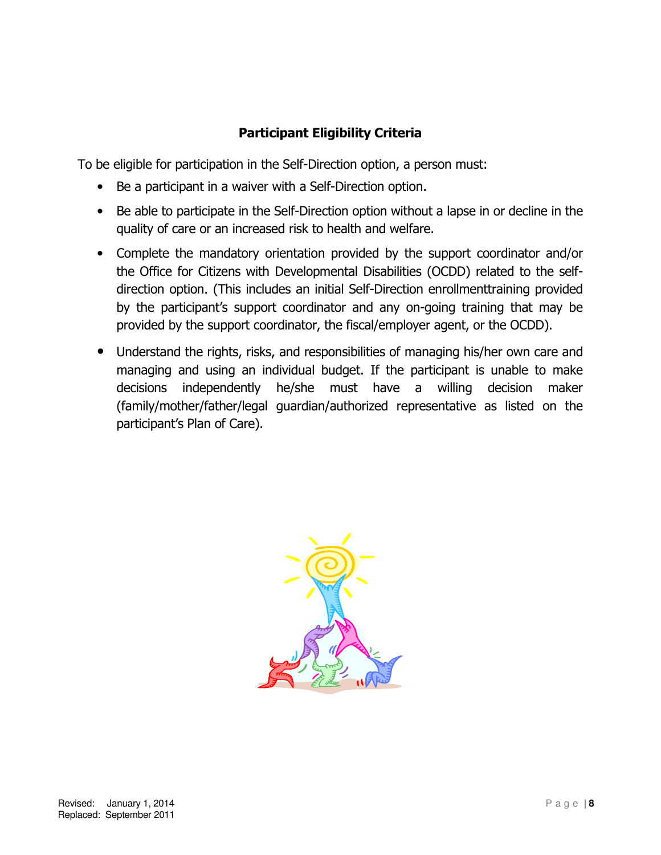# Participant Eligibility Criteria

To be eligible for participation in the Self-Direction option, a person must:

- Be a participant in a waiver with a Self-Direction option.
- Be able to participate in the Self-Direction option without a lapse in or decline in the quality of care or an increased risk to health and welfare.
- Complete the mandatory orientation provided by the support coordinator and/or the Office for Citizens with Developmental Disabilities (OCDD) related to the selfdirection option. (This includes an initial Self-Direction enrollmenttraining provided by the participant's support coordinator and any on-going training that may be provided by the support coordinator, the fiscal/employer agent, or the OCDD).
- Understand the rights, risks, and responsibilities of managing his/her own care and managing and using an individual budget. If the participant is unable to make decisions independently he/she must have a willing decision maker (family/mother/father/legal guardian/authorized representative as listed on the participant's Plan of Care).

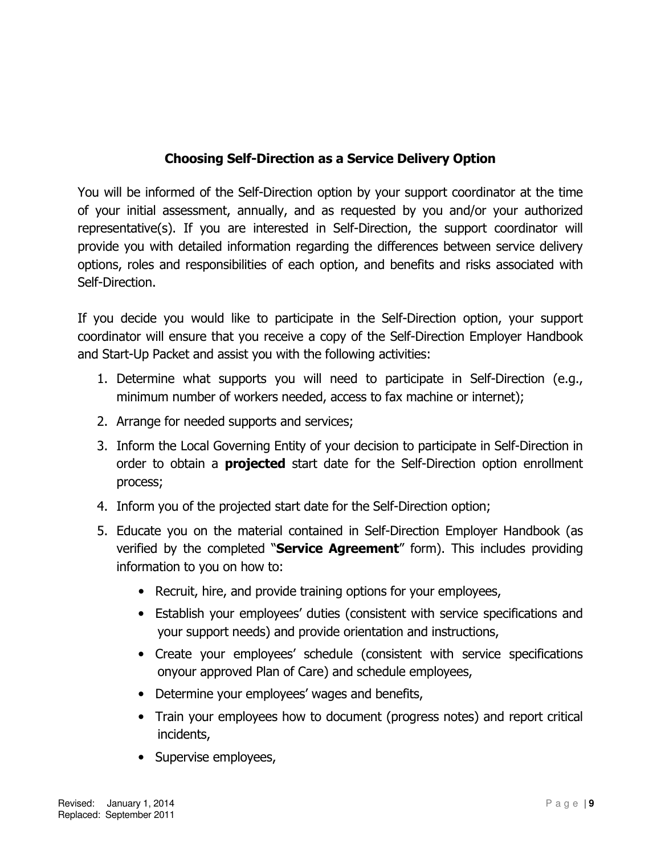# Choosing Self-Direction as a Service Delivery Option

You will be informed of the Self-Direction option by your support coordinator at the time of your initial assessment, annually, and as requested by you and/or your authorized representative(s). If you are interested in Self-Direction, the support coordinator will provide you with detailed information regarding the differences between service delivery options, roles and responsibilities of each option, and benefits and risks associated with Self-Direction.

If you decide you would like to participate in the Self-Direction option, your support coordinator will ensure that you receive a copy of the Self-Direction Employer Handbook and Start-Up Packet and assist you with the following activities:

- 1. Determine what supports you will need to participate in Self-Direction (e.g., minimum number of workers needed, access to fax machine or internet);
- 2. Arrange for needed supports and services;
- 3. Inform the Local Governing Entity of your decision to participate in Self-Direction in order to obtain a **projected** start date for the Self-Direction option enrollment process;
- 4. Inform you of the projected start date for the Self-Direction option;
- 5. Educate you on the material contained in Self-Direction Employer Handbook (as verified by the completed "**Service Agreement**" form). This includes providing information to you on how to:
	- Recruit, hire, and provide training options for your employees,
	- Establish your employees' duties (consistent with service specifications and your support needs) and provide orientation and instructions,
	- Create your employees' schedule (consistent with service specifications onyour approved Plan of Care) and schedule employees,
	- Determine your employees' wages and benefits,
	- Train your employees how to document (progress notes) and report critical incidents,
	- Supervise employees,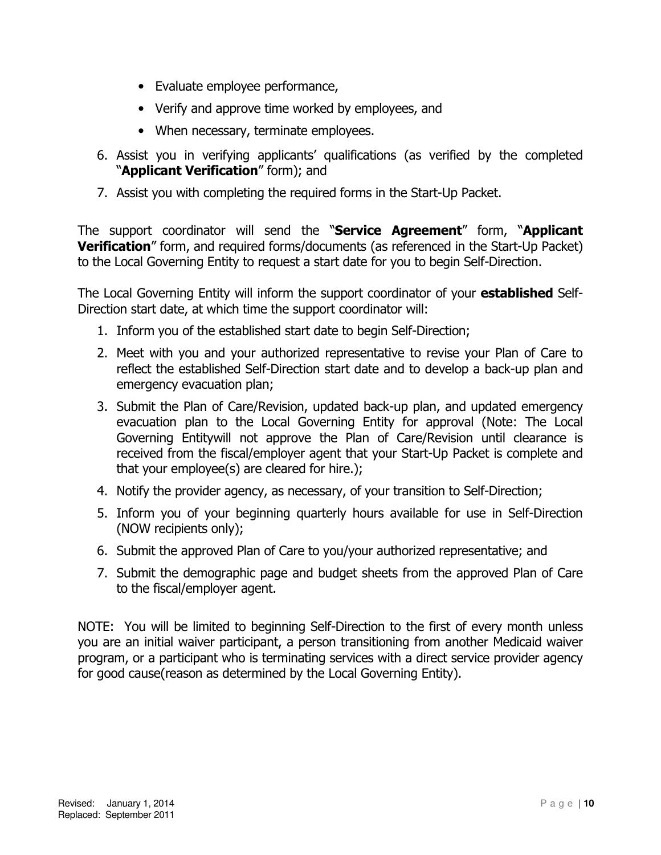- Evaluate employee performance,
- Verify and approve time worked by employees, and
- When necessary, terminate employees.
- 6. Assist you in verifying applicants' qualifications (as verified by the completed "Applicant Verification" form); and
- 7. Assist you with completing the required forms in the Start-Up Packet.

The support coordinator will send the "Service Agreement" form, "Applicant Verification" form, and required forms/documents (as referenced in the Start-Up Packet) to the Local Governing Entity to request a start date for you to begin Self-Direction.

The Local Governing Entity will inform the support coordinator of your **established** Self-Direction start date, at which time the support coordinator will:

- 1. Inform you of the established start date to begin Self-Direction;
- 2. Meet with you and your authorized representative to revise your Plan of Care to reflect the established Self-Direction start date and to develop a back-up plan and emergency evacuation plan;
- 3. Submit the Plan of Care/Revision, updated back-up plan, and updated emergency evacuation plan to the Local Governing Entity for approval (Note: The Local Governing Entitywill not approve the Plan of Care/Revision until clearance is received from the fiscal/employer agent that your Start-Up Packet is complete and that your employee(s) are cleared for hire.);
- 4. Notify the provider agency, as necessary, of your transition to Self-Direction;
- 5. Inform you of your beginning quarterly hours available for use in Self-Direction (NOW recipients only);
- 6. Submit the approved Plan of Care to you/your authorized representative; and
- 7. Submit the demographic page and budget sheets from the approved Plan of Care to the fiscal/employer agent.

NOTE: You will be limited to beginning Self-Direction to the first of every month unless you are an initial waiver participant, a person transitioning from another Medicaid waiver program, or a participant who is terminating services with a direct service provider agency for good cause(reason as determined by the Local Governing Entity).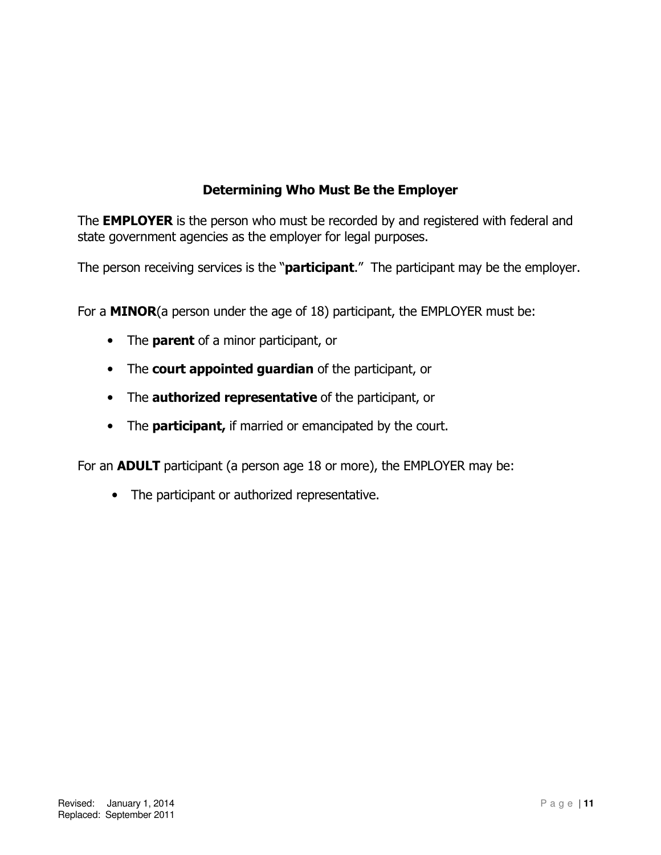# Determining Who Must Be the Employer

The **EMPLOYER** is the person who must be recorded by and registered with federal and state government agencies as the employer for legal purposes.

The person receiving services is the "**participant**." The participant may be the employer.

For a **MINOR**(a person under the age of 18) participant, the EMPLOYER must be:

- The **parent** of a minor participant, or
- The court appointed guardian of the participant, or
- The **authorized representative** of the participant, or
- The **participant**, if married or emancipated by the court.

For an ADULT participant (a person age 18 or more), the EMPLOYER may be:

• The participant or authorized representative.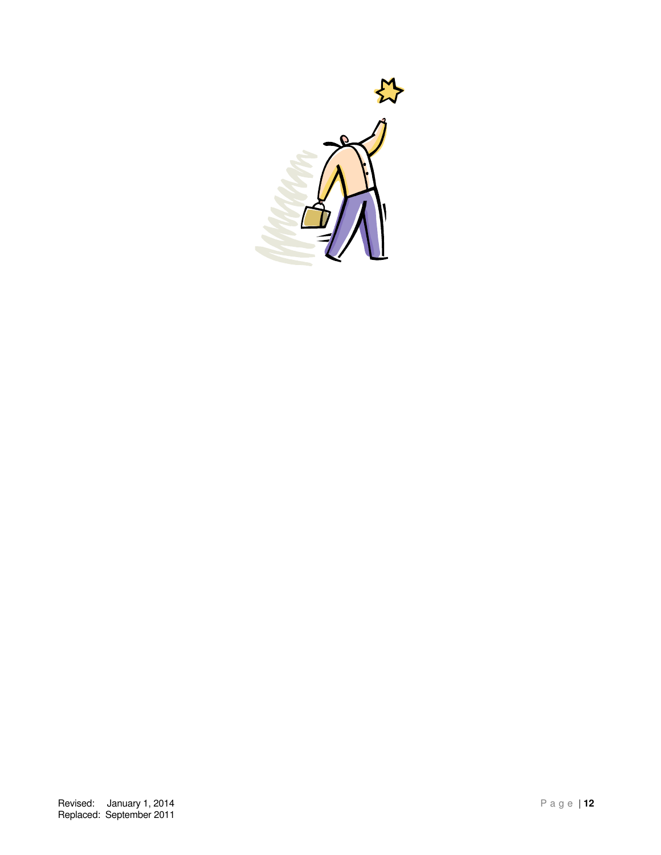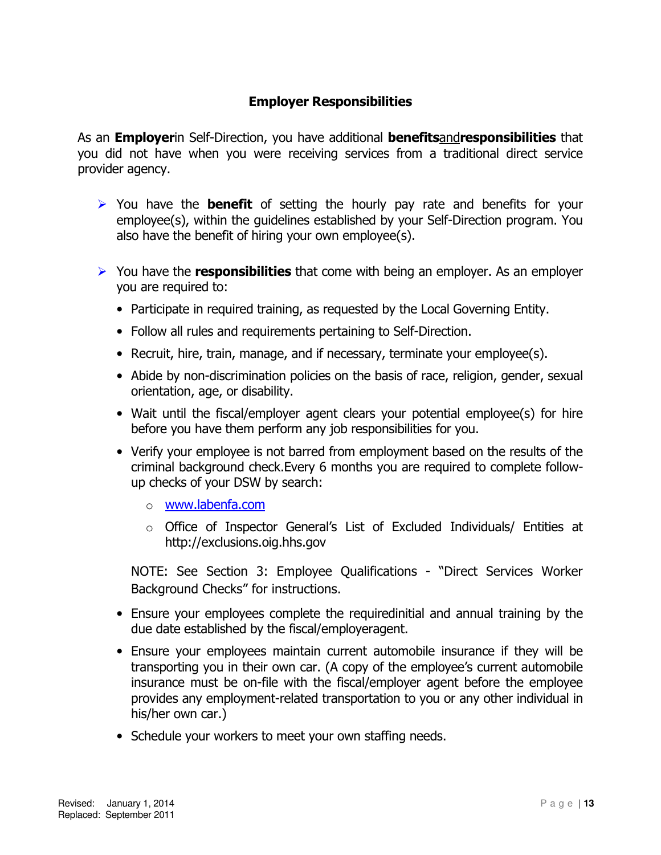### Employer Responsibilities

As an **Employer**in Self-Direction, you have additional **benefitsandresponsibilities** that you did not have when you were receiving services from a traditional direct service provider agency.

- $\triangleright$  You have the **benefit** of setting the hourly pay rate and benefits for your employee(s), within the guidelines established by your Self-Direction program. You also have the benefit of hiring your own employee(s).
- $\triangleright$  You have the **responsibilities** that come with being an employer. As an employer you are required to:
	- Participate in required training, as requested by the Local Governing Entity.
	- Follow all rules and requirements pertaining to Self-Direction.
	- Recruit, hire, train, manage, and if necessary, terminate your employee(s).
	- Abide by non-discrimination policies on the basis of race, religion, gender, sexual orientation, age, or disability.
	- Wait until the fiscal/employer agent clears your potential employee(s) for hire before you have them perform any job responsibilities for you.
	- Verify your employee is not barred from employment based on the results of the criminal background check.Every 6 months you are required to complete followup checks of your DSW by search:
		- o www.labenfa.com
		- o Office of Inspector General's List of Excluded Individuals/ Entities at http://exclusions.oig.hhs.gov

NOTE: See Section 3: Employee Qualifications - "Direct Services Worker Background Checks" for instructions.

- Ensure your employees complete the requiredinitial and annual training by the due date established by the fiscal/employeragent.
- Ensure your employees maintain current automobile insurance if they will be transporting you in their own car. (A copy of the employee's current automobile insurance must be on-file with the fiscal/employer agent before the employee provides any employment-related transportation to you or any other individual in his/her own car.)
- Schedule your workers to meet your own staffing needs.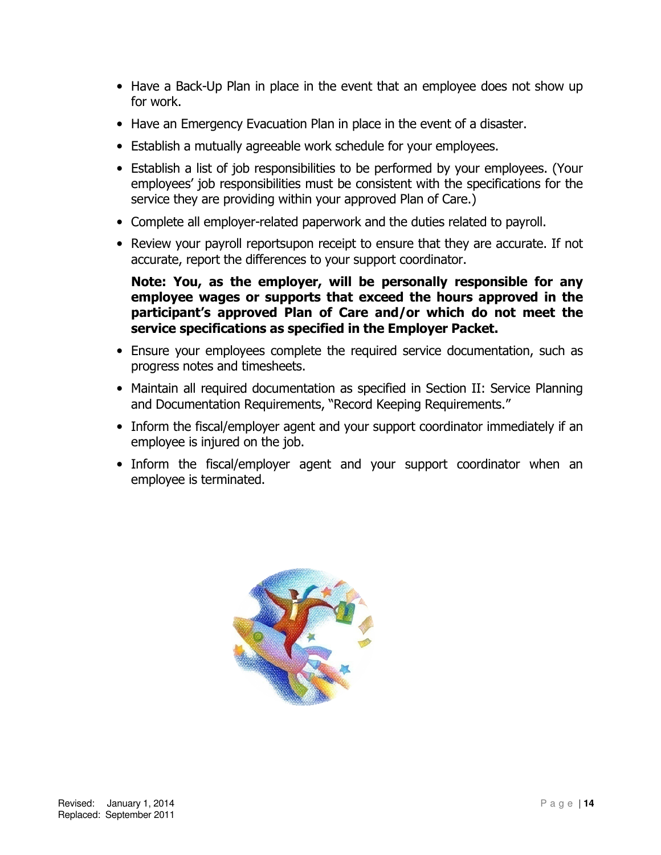- Have a Back-Up Plan in place in the event that an employee does not show up for work.
- Have an Emergency Evacuation Plan in place in the event of a disaster.
- Establish a mutually agreeable work schedule for your employees.
- Establish a list of job responsibilities to be performed by your employees. (Your employees' job responsibilities must be consistent with the specifications for the service they are providing within your approved Plan of Care.)
- Complete all employer-related paperwork and the duties related to payroll.
- Review your payroll reportsupon receipt to ensure that they are accurate. If not accurate, report the differences to your support coordinator.

Note: You, as the employer, will be personally responsible for any employee wages or supports that exceed the hours approved in the participant's approved Plan of Care and/or which do not meet the service specifications as specified in the Employer Packet.

- Ensure your employees complete the required service documentation, such as progress notes and timesheets.
- Maintain all required documentation as specified in Section II: Service Planning and Documentation Requirements, "Record Keeping Requirements."
- Inform the fiscal/employer agent and your support coordinator immediately if an employee is injured on the job.
- Inform the fiscal/employer agent and your support coordinator when an employee is terminated.

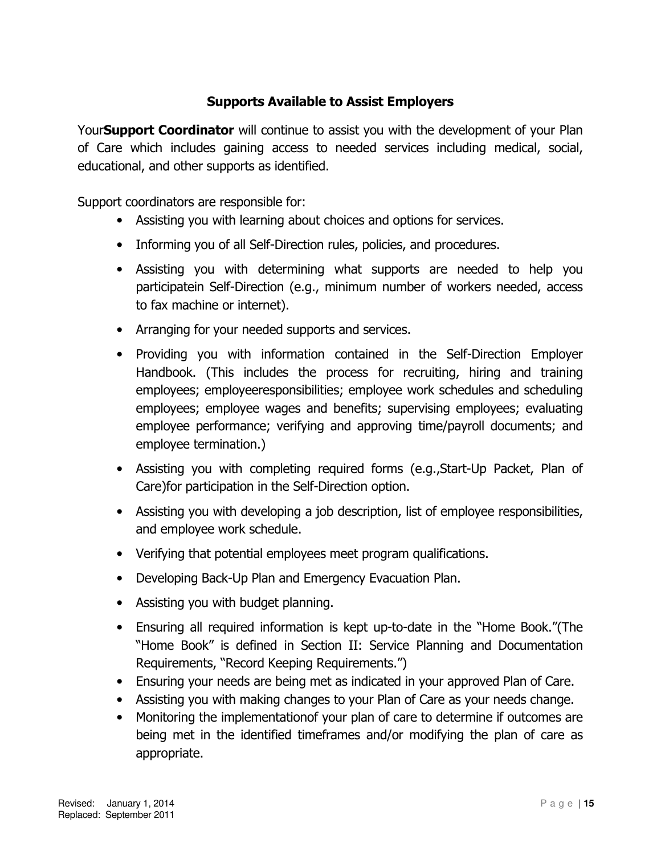# Supports Available to Assist Employers

Your**Support Coordinator** will continue to assist you with the development of your Plan of Care which includes gaining access to needed services including medical, social, educational, and other supports as identified.

Support coordinators are responsible for:

- Assisting you with learning about choices and options for services.
- Informing you of all Self-Direction rules, policies, and procedures.
- Assisting you with determining what supports are needed to help you participatein Self-Direction (e.g., minimum number of workers needed, access to fax machine or internet).
- Arranging for your needed supports and services.
- Providing you with information contained in the Self-Direction Employer Handbook. (This includes the process for recruiting, hiring and training employees; employeeresponsibilities; employee work schedules and scheduling employees; employee wages and benefits; supervising employees; evaluating employee performance; verifying and approving time/payroll documents; and employee termination.)
- Assisting you with completing required forms (e.g.,Start-Up Packet, Plan of Care)for participation in the Self-Direction option.
- Assisting you with developing a job description, list of employee responsibilities, and employee work schedule.
- Verifying that potential employees meet program qualifications.
- Developing Back-Up Plan and Emergency Evacuation Plan.
- Assisting you with budget planning.
- Ensuring all required information is kept up-to-date in the "Home Book."(The "Home Book" is defined in Section II: Service Planning and Documentation Requirements, "Record Keeping Requirements.")
- Ensuring your needs are being met as indicated in your approved Plan of Care.
- Assisting you with making changes to your Plan of Care as your needs change.
- Monitoring the implementationof your plan of care to determine if outcomes are being met in the identified timeframes and/or modifying the plan of care as appropriate.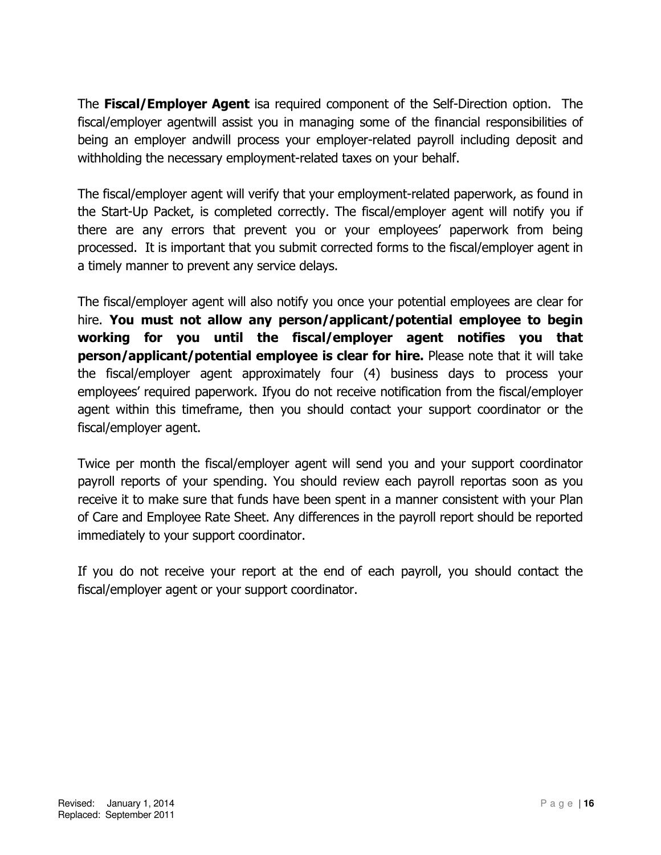The Fiscal/Employer Agent isa required component of the Self-Direction option. The fiscal/employer agentwill assist you in managing some of the financial responsibilities of being an employer andwill process your employer-related payroll including deposit and withholding the necessary employment-related taxes on your behalf.

The fiscal/employer agent will verify that your employment-related paperwork, as found in the Start-Up Packet, is completed correctly. The fiscal/employer agent will notify you if there are any errors that prevent you or your employees' paperwork from being processed. It is important that you submit corrected forms to the fiscal/employer agent in a timely manner to prevent any service delays.

The fiscal/employer agent will also notify you once your potential employees are clear for hire. You must not allow any person/applicant/potential employee to begin working for you until the fiscal/employer agent notifies you that person/applicant/potential employee is clear for hire. Please note that it will take the fiscal/employer agent approximately four (4) business days to process your employees' required paperwork. Ifyou do not receive notification from the fiscal/employer agent within this timeframe, then you should contact your support coordinator or the fiscal/employer agent.

Twice per month the fiscal/employer agent will send you and your support coordinator payroll reports of your spending. You should review each payroll reportas soon as you receive it to make sure that funds have been spent in a manner consistent with your Plan of Care and Employee Rate Sheet. Any differences in the payroll report should be reported immediately to your support coordinator.

If you do not receive your report at the end of each payroll, you should contact the fiscal/employer agent or your support coordinator.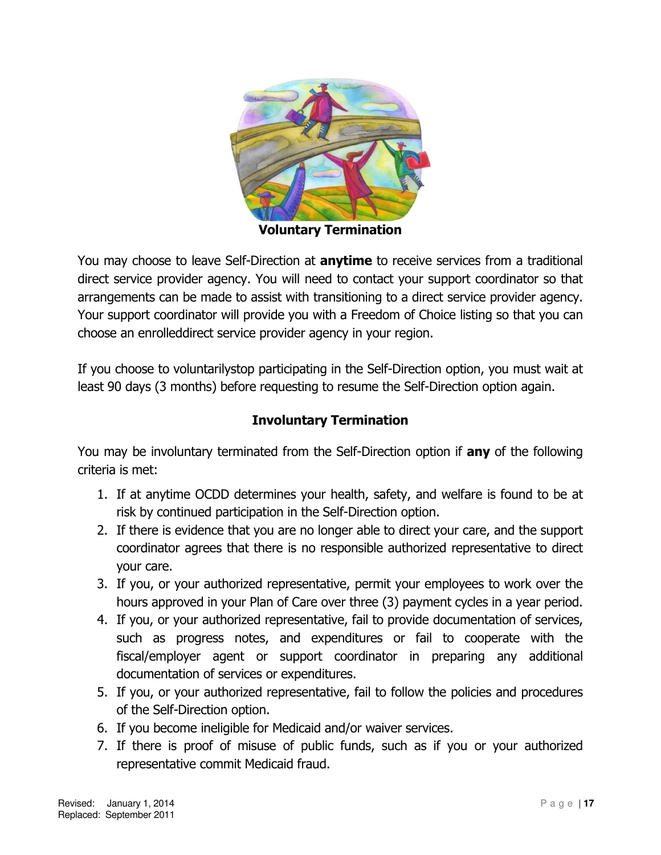

Voluntary Termination

You may choose to leave Self-Direction at **anytime** to receive services from a traditional direct service provider agency. You will need to contact your support coordinator so that arrangements can be made to assist with transitioning to a direct service provider agency. Your support coordinator will provide you with a Freedom of Choice listing so that you can choose an enrolleddirect service provider agency in your region.

If you choose to voluntarilystop participating in the Self-Direction option, you must wait at least 90 days (3 months) before requesting to resume the Self-Direction option again.

#### Involuntary Termination

You may be involuntary terminated from the Self-Direction option if any of the following criteria is met:

- 1. If at anytime OCDD determines your health, safety, and welfare is found to be at risk by continued participation in the Self-Direction option.
- 2. If there is evidence that you are no longer able to direct your care, and the support coordinator agrees that there is no responsible authorized representative to direct your care.
- 3. If you, or your authorized representative, permit your employees to work over the hours approved in your Plan of Care over three (3) payment cycles in a year period.
- 4. If you, or your authorized representative, fail to provide documentation of services, such as progress notes, and expenditures or fail to cooperate with the fiscal/employer agent or support coordinator in preparing any additional documentation of services or expenditures.
- 5. If you, or your authorized representative, fail to follow the policies and procedures of the Self-Direction option.
- 6. If you become ineligible for Medicaid and/or waiver services.
- 7. If there is proof of misuse of public funds, such as if you or your authorized representative commit Medicaid fraud.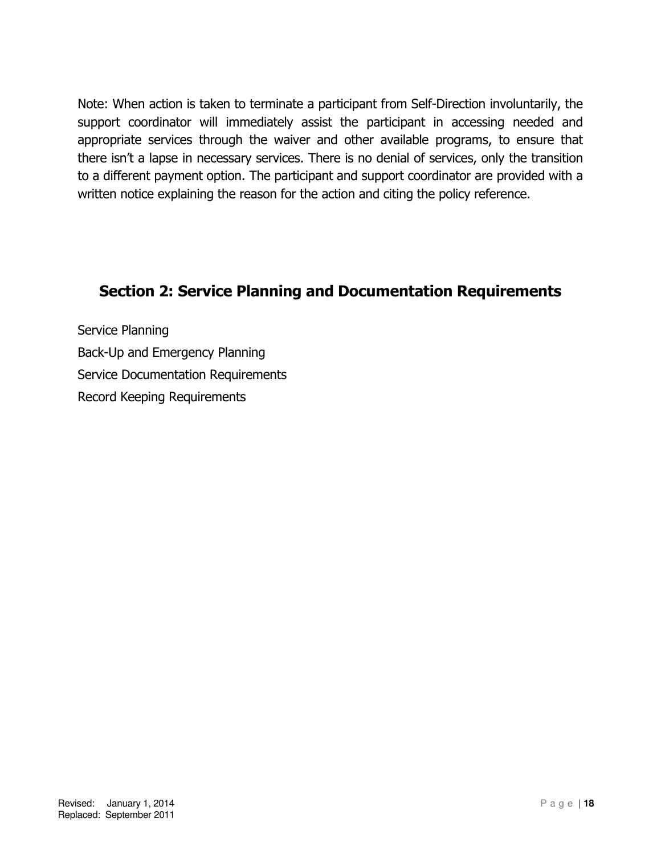Note: When action is taken to terminate a participant from Self-Direction involuntarily, the support coordinator will immediately assist the participant in accessing needed and appropriate services through the waiver and other available programs, to ensure that there isn't a lapse in necessary services. There is no denial of services, only the transition to a different payment option. The participant and support coordinator are provided with a written notice explaining the reason for the action and citing the policy reference.

# Section 2: Service Planning and Documentation Requirements

Service Planning Back-Up and Emergency Planning Service Documentation Requirements Record Keeping Requirements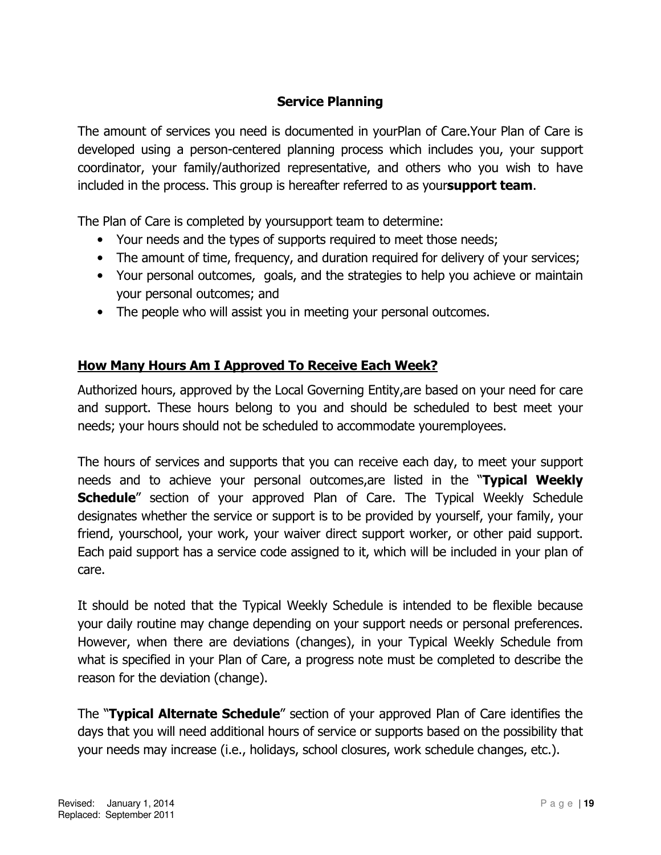# Service Planning

The amount of services you need is documented in yourPlan of Care.Your Plan of Care is developed using a person-centered planning process which includes you, your support coordinator, your family/authorized representative, and others who you wish to have included in the process. This group is hereafter referred to as yoursupport team.

The Plan of Care is completed by yoursupport team to determine:

- Your needs and the types of supports required to meet those needs;
- The amount of time, frequency, and duration required for delivery of your services;
- Your personal outcomes, goals, and the strategies to help you achieve or maintain your personal outcomes; and
- The people who will assist you in meeting your personal outcomes.

#### How Many Hours Am I Approved To Receive Each Week?

Authorized hours, approved by the Local Governing Entity,are based on your need for care and support. These hours belong to you and should be scheduled to best meet your needs; your hours should not be scheduled to accommodate youremployees.

The hours of services and supports that you can receive each day, to meet your support needs and to achieve your personal outcomes, are listed in the "Typical Weekly **Schedule**" section of your approved Plan of Care. The Typical Weekly Schedule designates whether the service or support is to be provided by yourself, your family, your friend, yourschool, your work, your waiver direct support worker, or other paid support. Each paid support has a service code assigned to it, which will be included in your plan of care.

It should be noted that the Typical Weekly Schedule is intended to be flexible because your daily routine may change depending on your support needs or personal preferences. However, when there are deviations (changes), in your Typical Weekly Schedule from what is specified in your Plan of Care, a progress note must be completed to describe the reason for the deviation (change).

The "Typical Alternate Schedule" section of your approved Plan of Care identifies the days that you will need additional hours of service or supports based on the possibility that your needs may increase (i.e., holidays, school closures, work schedule changes, etc.).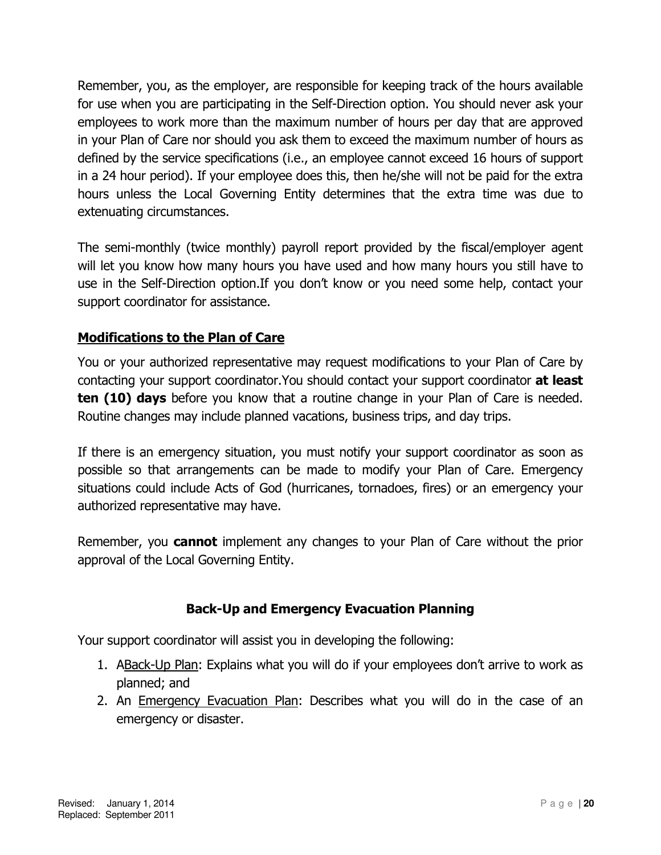Remember, you, as the employer, are responsible for keeping track of the hours available for use when you are participating in the Self-Direction option. You should never ask your employees to work more than the maximum number of hours per day that are approved in your Plan of Care nor should you ask them to exceed the maximum number of hours as defined by the service specifications (i.e., an employee cannot exceed 16 hours of support in a 24 hour period). If your employee does this, then he/she will not be paid for the extra hours unless the Local Governing Entity determines that the extra time was due to extenuating circumstances.

The semi-monthly (twice monthly) payroll report provided by the fiscal/employer agent will let you know how many hours you have used and how many hours you still have to use in the Self-Direction option.If you don't know or you need some help, contact your support coordinator for assistance.

# Modifications to the Plan of Care

You or your authorized representative may request modifications to your Plan of Care by contacting your support coordinator. You should contact your support coordinator at least ten (10) days before you know that a routine change in your Plan of Care is needed. Routine changes may include planned vacations, business trips, and day trips.

If there is an emergency situation, you must notify your support coordinator as soon as possible so that arrangements can be made to modify your Plan of Care. Emergency situations could include Acts of God (hurricanes, tornadoes, fires) or an emergency your authorized representative may have.

Remember, you **cannot** implement any changes to your Plan of Care without the prior approval of the Local Governing Entity.

# Back-Up and Emergency Evacuation Planning

Your support coordinator will assist you in developing the following:

- 1. ABack-Up Plan: Explains what you will do if your employees don't arrive to work as planned; and
- 2. An Emergency Evacuation Plan: Describes what you will do in the case of an emergency or disaster.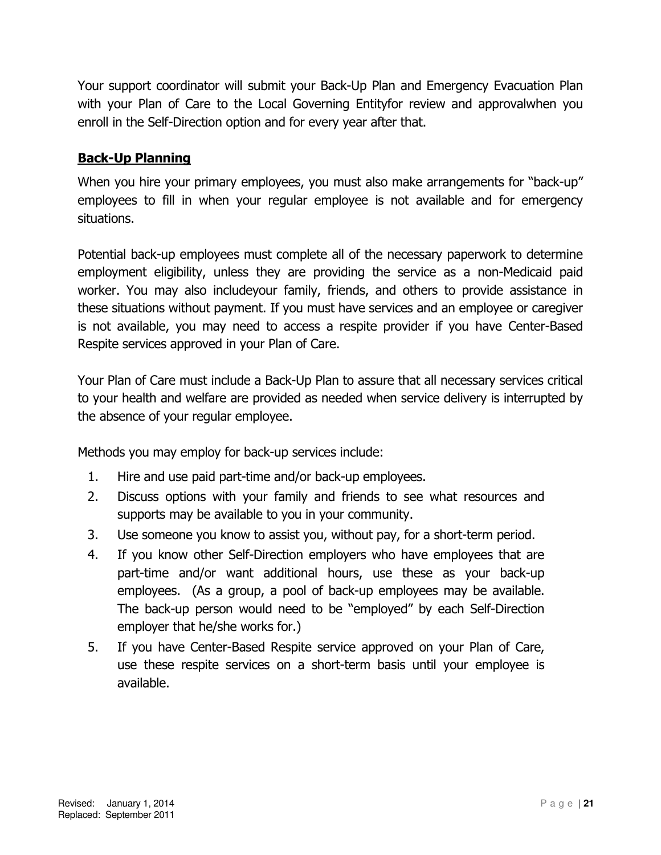Your support coordinator will submit your Back-Up Plan and Emergency Evacuation Plan with your Plan of Care to the Local Governing Entityfor review and approvalwhen you enroll in the Self-Direction option and for every year after that.

#### Back-Up Planning

When you hire your primary employees, you must also make arrangements for "back-up" employees to fill in when your regular employee is not available and for emergency situations.

Potential back-up employees must complete all of the necessary paperwork to determine employment eligibility, unless they are providing the service as a non-Medicaid paid worker. You may also includeyour family, friends, and others to provide assistance in these situations without payment. If you must have services and an employee or caregiver is not available, you may need to access a respite provider if you have Center-Based Respite services approved in your Plan of Care.

Your Plan of Care must include a Back-Up Plan to assure that all necessary services critical to your health and welfare are provided as needed when service delivery is interrupted by the absence of your regular employee.

Methods you may employ for back-up services include:

- 1. Hire and use paid part-time and/or back-up employees.
- 2. Discuss options with your family and friends to see what resources and supports may be available to you in your community.
- 3. Use someone you know to assist you, without pay, for a short-term period.
- 4. If you know other Self-Direction employers who have employees that are part-time and/or want additional hours, use these as your back-up employees. (As a group, a pool of back-up employees may be available. The back-up person would need to be "employed" by each Self-Direction employer that he/she works for.)
- 5. If you have Center-Based Respite service approved on your Plan of Care, use these respite services on a short-term basis until your employee is available.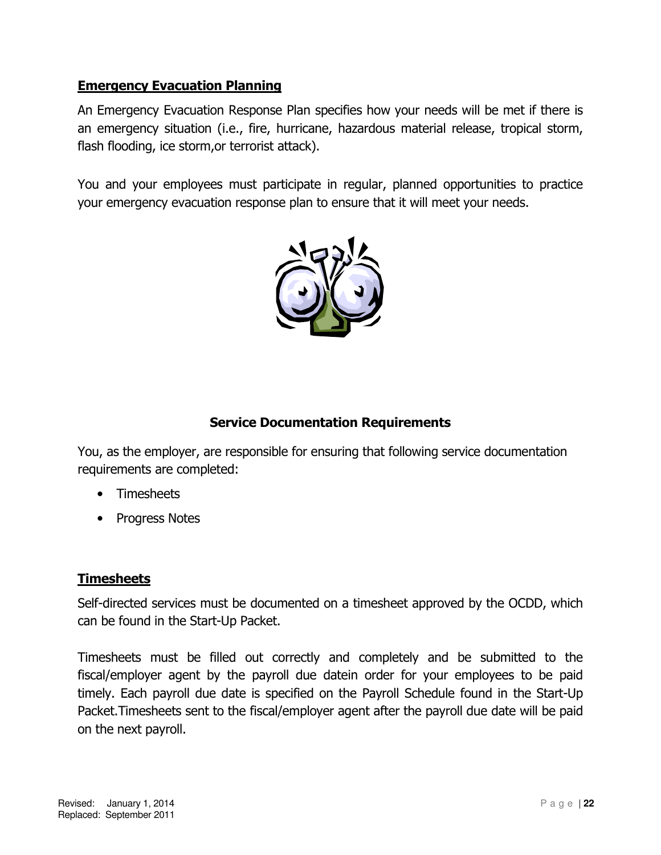#### Emergency Evacuation Planning

An Emergency Evacuation Response Plan specifies how your needs will be met if there is an emergency situation (i.e., fire, hurricane, hazardous material release, tropical storm, flash flooding, ice storm,or terrorist attack).

You and your employees must participate in regular, planned opportunities to practice your emergency evacuation response plan to ensure that it will meet your needs.



# Service Documentation Requirements

You, as the employer, are responsible for ensuring that following service documentation requirements are completed:

- Timesheets
- Progress Notes

#### Timesheets

Self-directed services must be documented on a timesheet approved by the OCDD, which can be found in the Start-Up Packet.

Timesheets must be filled out correctly and completely and be submitted to the fiscal/employer agent by the payroll due datein order for your employees to be paid timely. Each payroll due date is specified on the Payroll Schedule found in the Start-Up Packet.Timesheets sent to the fiscal/employer agent after the payroll due date will be paid on the next payroll.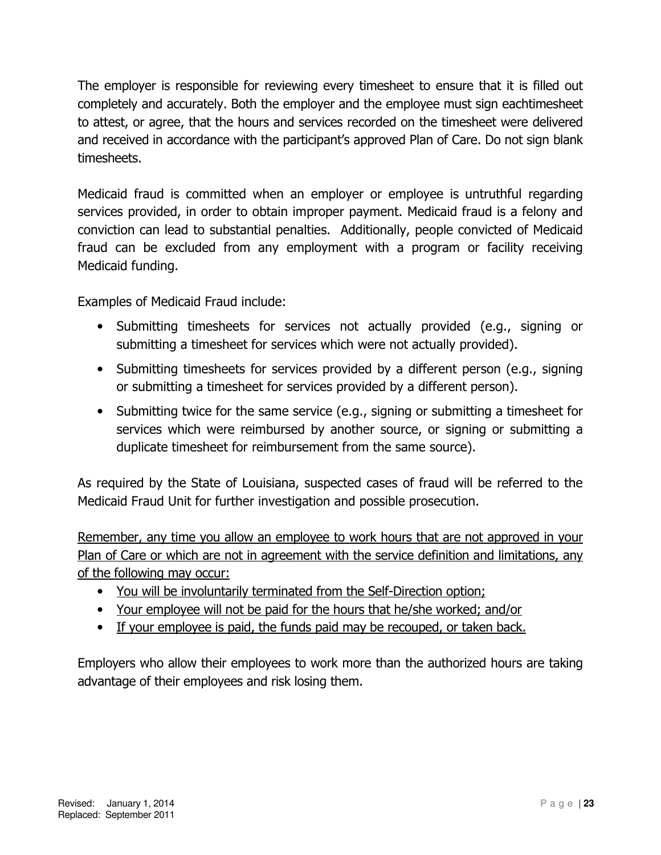The employer is responsible for reviewing every timesheet to ensure that it is filled out completely and accurately. Both the employer and the employee must sign eachtimesheet to attest, or agree, that the hours and services recorded on the timesheet were delivered and received in accordance with the participant's approved Plan of Care. Do not sign blank timesheets.

Medicaid fraud is committed when an employer or employee is untruthful regarding services provided, in order to obtain improper payment. Medicaid fraud is a felony and conviction can lead to substantial penalties. Additionally, people convicted of Medicaid fraud can be excluded from any employment with a program or facility receiving Medicaid funding.

Examples of Medicaid Fraud include:

- Submitting timesheets for services not actually provided (e.g., signing or submitting a timesheet for services which were not actually provided).
- Submitting timesheets for services provided by a different person (e.g., signing or submitting a timesheet for services provided by a different person).
- Submitting twice for the same service (e.g., signing or submitting a timesheet for services which were reimbursed by another source, or signing or submitting a duplicate timesheet for reimbursement from the same source).

As required by the State of Louisiana, suspected cases of fraud will be referred to the Medicaid Fraud Unit for further investigation and possible prosecution.

Remember, any time you allow an employee to work hours that are not approved in your Plan of Care or which are not in agreement with the service definition and limitations, any of the following may occur:

- You will be involuntarily terminated from the Self-Direction option;
- Your employee will not be paid for the hours that he/she worked; and/or
- If your employee is paid, the funds paid may be recouped, or taken back.

Employers who allow their employees to work more than the authorized hours are taking advantage of their employees and risk losing them.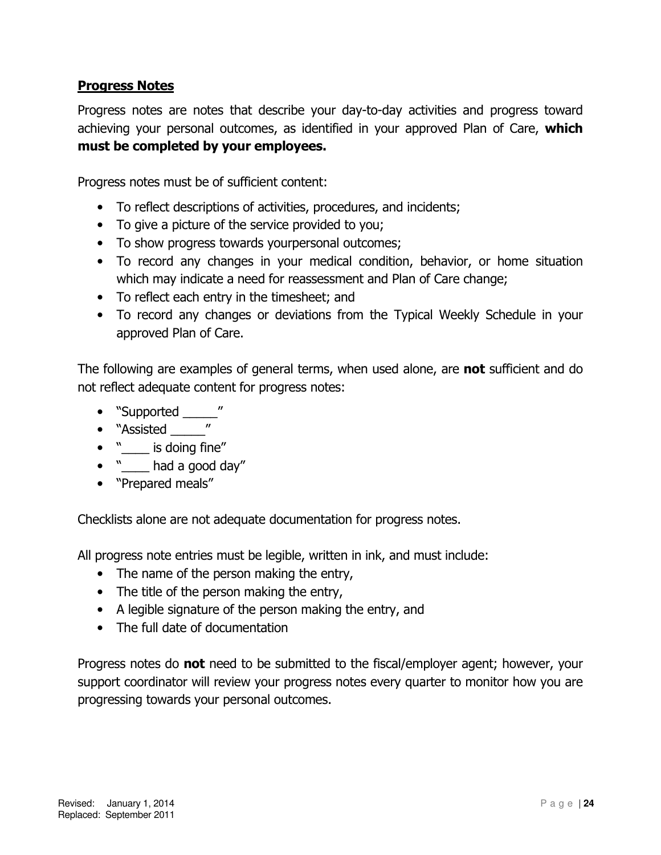#### Progress Notes

Progress notes are notes that describe your day-to-day activities and progress toward achieving your personal outcomes, as identified in your approved Plan of Care, which must be completed by your employees.

Progress notes must be of sufficient content:

- To reflect descriptions of activities, procedures, and incidents;
- To give a picture of the service provided to you;
- To show progress towards yourpersonal outcomes;
- To record any changes in your medical condition, behavior, or home situation which may indicate a need for reassessment and Plan of Care change;
- To reflect each entry in the timesheet; and
- To record any changes or deviations from the Typical Weekly Schedule in your approved Plan of Care.

The following are examples of general terms, when used alone, are **not** sufficient and do not reflect adequate content for progress notes:

- "Supported \_\_\_\_\_
- "Assisted
- " is doing fine"
- " had a good day"
- "Prepared meals"

Checklists alone are not adequate documentation for progress notes.

All progress note entries must be legible, written in ink, and must include:

- The name of the person making the entry,
- The title of the person making the entry,
- A legible signature of the person making the entry, and
- The full date of documentation

Progress notes do not need to be submitted to the fiscal/employer agent; however, your support coordinator will review your progress notes every quarter to monitor how you are progressing towards your personal outcomes.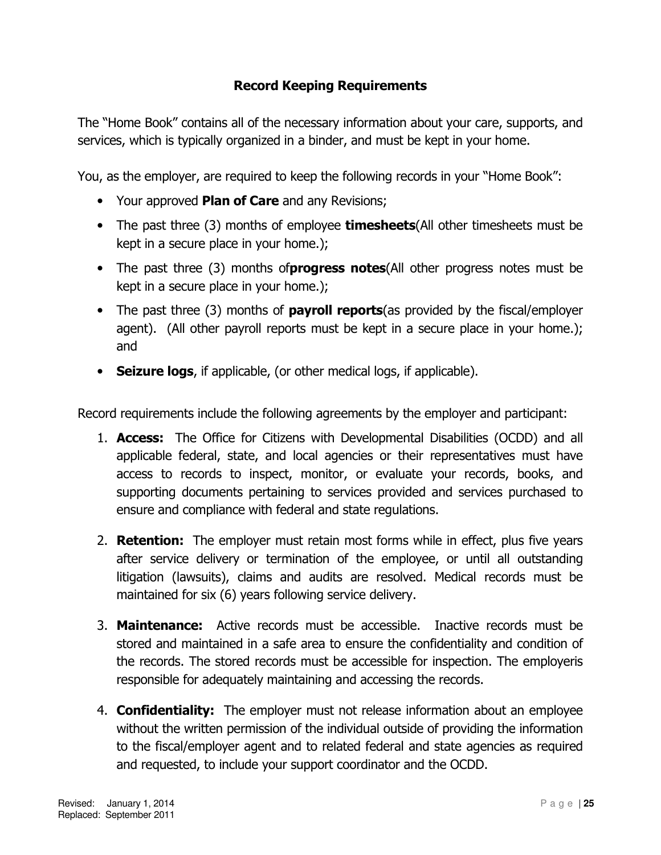# Record Keeping Requirements

The "Home Book" contains all of the necessary information about your care, supports, and services, which is typically organized in a binder, and must be kept in your home.

You, as the employer, are required to keep the following records in your "Home Book":

- Your approved **Plan of Care** and any Revisions;
- The past three  $(3)$  months of employee **timesheets**(All other timesheets must be kept in a secure place in your home.);
- The past three  $(3)$  months of**progress notes** (All other progress notes must be kept in a secure place in your home.);
- The past three (3) months of **payroll reports** (as provided by the fiscal/employer agent). (All other payroll reports must be kept in a secure place in your home.); and
- Seizure logs, if applicable, (or other medical logs, if applicable).

Record requirements include the following agreements by the employer and participant:

- 1. Access: The Office for Citizens with Developmental Disabilities (OCDD) and all applicable federal, state, and local agencies or their representatives must have access to records to inspect, monitor, or evaluate your records, books, and supporting documents pertaining to services provided and services purchased to ensure and compliance with federal and state regulations.
- 2. **Retention:** The employer must retain most forms while in effect, plus five years after service delivery or termination of the employee, or until all outstanding litigation (lawsuits), claims and audits are resolved. Medical records must be maintained for six (6) years following service delivery.
- 3. Maintenance: Active records must be accessible. Inactive records must be stored and maintained in a safe area to ensure the confidentiality and condition of the records. The stored records must be accessible for inspection. The employeris responsible for adequately maintaining and accessing the records.
- 4. **Confidentiality:** The employer must not release information about an employee without the written permission of the individual outside of providing the information to the fiscal/employer agent and to related federal and state agencies as required and requested, to include your support coordinator and the OCDD.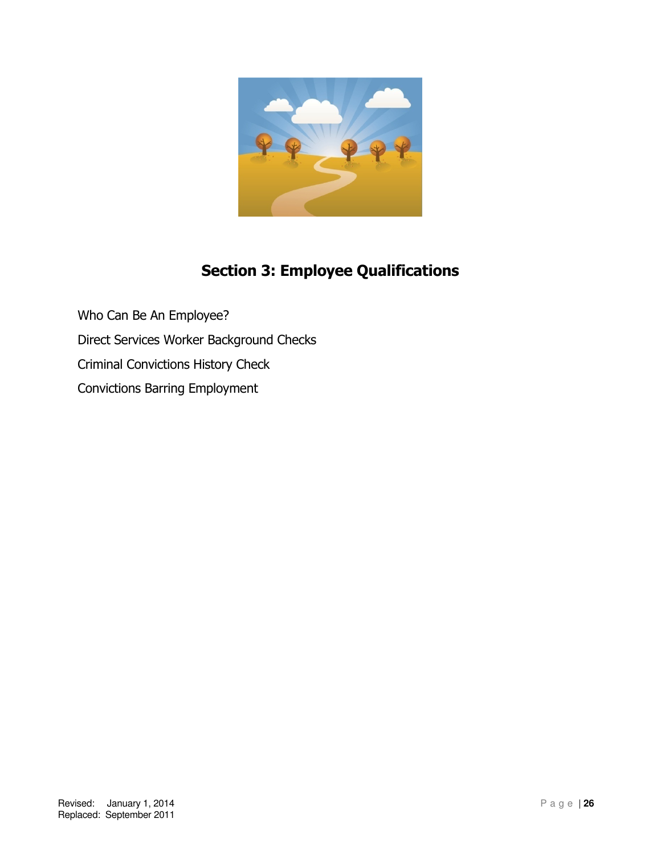

# Section 3: Employee Qualifications

Who Can Be An Employee? Direct Services Worker Background Checks Criminal Convictions History Check Convictions Barring Employment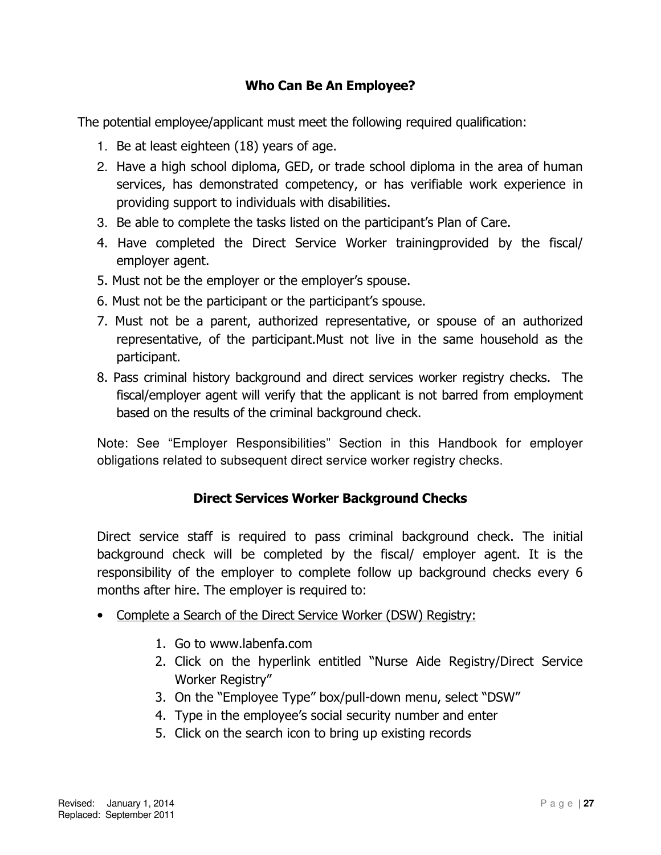#### Who Can Be An Employee?

The potential employee/applicant must meet the following required qualification:

- 1. Be at least eighteen (18) years of age.
- 2. Have a high school diploma, GED, or trade school diploma in the area of human services, has demonstrated competency, or has verifiable work experience in providing support to individuals with disabilities.
- 3. Be able to complete the tasks listed on the participant's Plan of Care.
- 4. Have completed the Direct Service Worker trainingprovided by the fiscal/ employer agent.
- 5. Must not be the employer or the employer's spouse.
- 6. Must not be the participant or the participant's spouse.
- 7. Must not be a parent, authorized representative, or spouse of an authorized representative, of the participant.Must not live in the same household as the participant.
- 8. Pass criminal history background and direct services worker registry checks. The fiscal/employer agent will verify that the applicant is not barred from employment based on the results of the criminal background check.

Note: See "Employer Responsibilities" Section in this Handbook for employer obligations related to subsequent direct service worker registry checks.

# Direct Services Worker Background Checks

Direct service staff is required to pass criminal background check. The initial background check will be completed by the fiscal/ employer agent. It is the responsibility of the employer to complete follow up background checks every 6 months after hire. The employer is required to:

- Complete a Search of the Direct Service Worker (DSW) Registry:
	- 1. Go to www.labenfa.com
	- 2. Click on the hyperlink entitled "Nurse Aide Registry/Direct Service Worker Registry"
	- 3. On the "Employee Type" box/pull-down menu, select "DSW"
	- 4. Type in the employee's social security number and enter
	- 5. Click on the search icon to bring up existing records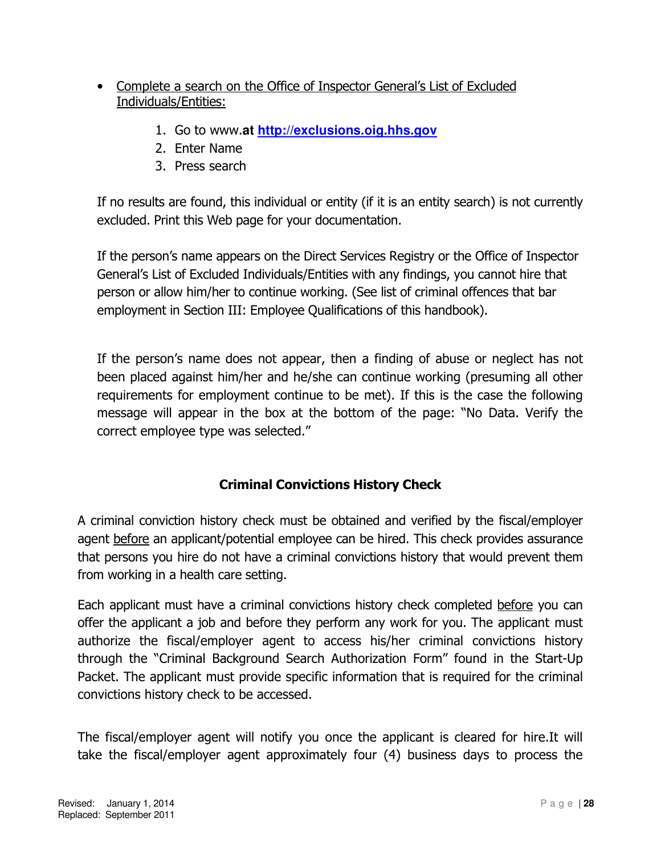- Complete a search on the Office of Inspector General's List of Excluded Individuals/Entities:
	- 1. Go to www.**at http://exclusions.oig.hhs.gov**
	- 2. Enter Name
	- 3. Press search

If no results are found, this individual or entity (if it is an entity search) is not currently excluded. Print this Web page for your documentation.

If the person's name appears on the Direct Services Registry or the Office of Inspector General's List of Excluded Individuals/Entities with any findings, you cannot hire that person or allow him/her to continue working. (See list of criminal offences that bar employment in Section III: Employee Qualifications of this handbook).

If the person's name does not appear, then a finding of abuse or neglect has not been placed against him/her and he/she can continue working (presuming all other requirements for employment continue to be met). If this is the case the following message will appear in the box at the bottom of the page: "No Data. Verify the correct employee type was selected."

# Criminal Convictions History Check

A criminal conviction history check must be obtained and verified by the fiscal/employer agent before an applicant/potential employee can be hired. This check provides assurance that persons you hire do not have a criminal convictions history that would prevent them from working in a health care setting.

Each applicant must have a criminal convictions history check completed before you can offer the applicant a job and before they perform any work for you. The applicant must authorize the fiscal/employer agent to access his/her criminal convictions history through the "Criminal Background Search Authorization Form" found in the Start-Up Packet. The applicant must provide specific information that is required for the criminal convictions history check to be accessed.

The fiscal/employer agent will notify you once the applicant is cleared for hire.It will take the fiscal/employer agent approximately four (4) business days to process the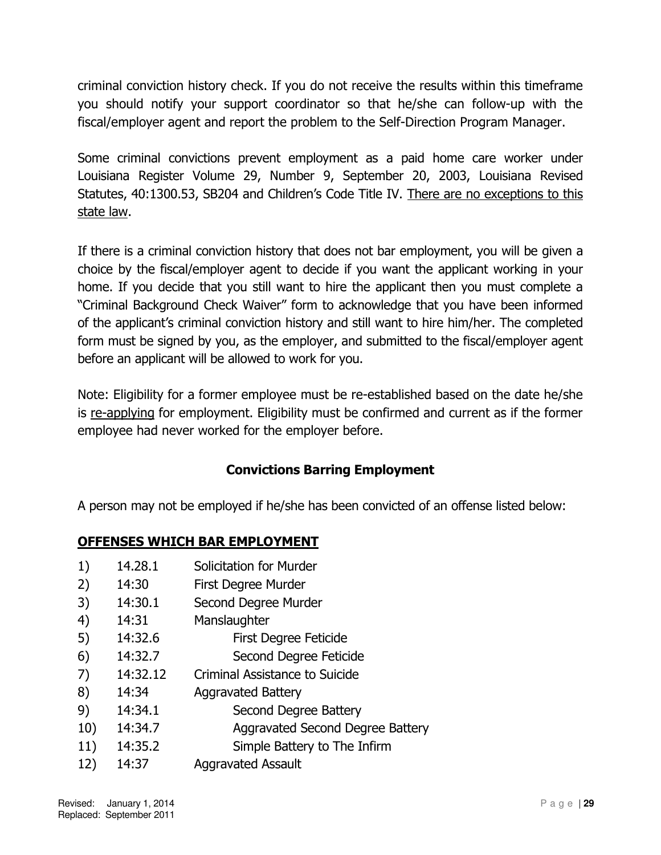criminal conviction history check. If you do not receive the results within this timeframe you should notify your support coordinator so that he/she can follow-up with the fiscal/employer agent and report the problem to the Self-Direction Program Manager.

Some criminal convictions prevent employment as a paid home care worker under Louisiana Register Volume 29, Number 9, September 20, 2003, Louisiana Revised Statutes, 40:1300.53, SB204 and Children's Code Title IV. There are no exceptions to this state law.

If there is a criminal conviction history that does not bar employment, you will be given a choice by the fiscal/employer agent to decide if you want the applicant working in your home. If you decide that you still want to hire the applicant then you must complete a "Criminal Background Check Waiver" form to acknowledge that you have been informed of the applicant's criminal conviction history and still want to hire him/her. The completed form must be signed by you, as the employer, and submitted to the fiscal/employer agent before an applicant will be allowed to work for you.

Note: Eligibility for a former employee must be re-established based on the date he/she is re-applying for employment. Eligibility must be confirmed and current as if the former employee had never worked for the employer before.

# Convictions Barring Employment

A person may not be employed if he/she has been convicted of an offense listed below:

# OFFENSES WHICH BAR EMPLOYMENT

- 1) 14.28.1 Solicitation for Murder
- 2) 14:30 First Degree Murder
- 3) 14:30.1 Second Degree Murder
- 4) 14:31 Manslaughter
- 5) 14:32.6 First Degree Feticide
- 6) 14:32.7 Second Degree Feticide
- 7) 14:32.12 Criminal Assistance to Suicide
- 8) 14:34 Aggravated Battery
- 9) 14:34.1 Second Degree Battery
- 10) 14:34.7 Aggravated Second Degree Battery
- 11) 14:35.2 Simple Battery to The Infirm
- 12) 14:37 Aggravated Assault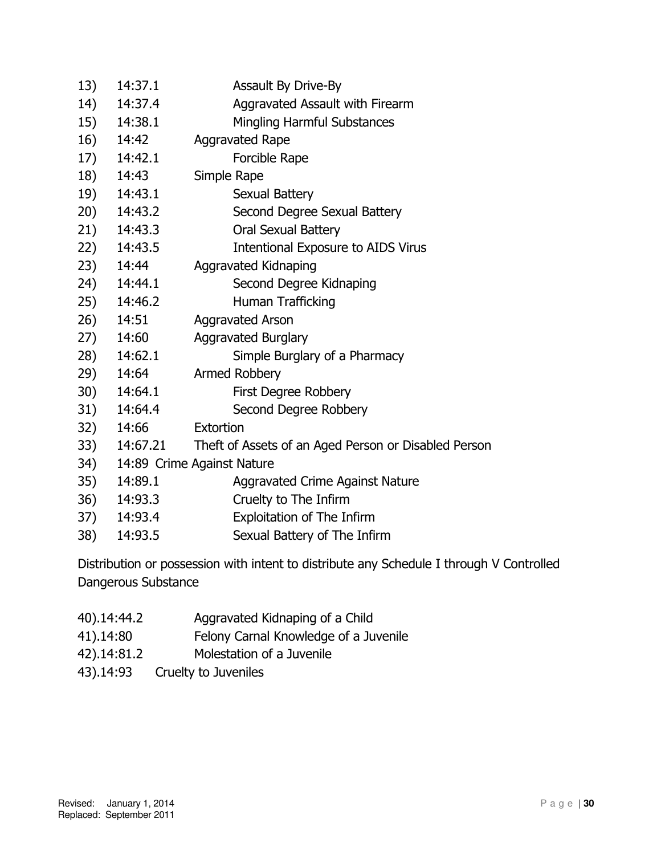| 13) | 14:37.1  | Assault By Drive-By                                  |
|-----|----------|------------------------------------------------------|
| 14) | 14:37.4  | Aggravated Assault with Firearm                      |
| 15) | 14:38.1  | Mingling Harmful Substances                          |
| 16) | 14:42    | <b>Aggravated Rape</b>                               |
| 17) | 14:42.1  | Forcible Rape                                        |
| 18) | 14:43    | Simple Rape                                          |
| 19) | 14:43.1  | Sexual Battery                                       |
| 20) | 14:43.2  | Second Degree Sexual Battery                         |
| 21) | 14:43.3  | Oral Sexual Battery                                  |
| 22) | 14:43.5  | <b>Intentional Exposure to AIDS Virus</b>            |
| 23) | 14:44    | Aggravated Kidnaping                                 |
| 24) | 14:44.1  | Second Degree Kidnaping                              |
| 25) | 14:46.2  | Human Trafficking                                    |
| 26) | 14:51    | <b>Aggravated Arson</b>                              |
| 27) | 14:60    | <b>Aggravated Burglary</b>                           |
| 28) | 14:62.1  | Simple Burglary of a Pharmacy                        |
| 29) | 14:64    | Armed Robbery                                        |
| 30) | 14:64.1  | <b>First Degree Robbery</b>                          |
| 31) | 14:64.4  | Second Degree Robbery                                |
| 32) | 14:66    | Extortion                                            |
| 33) | 14:67.21 | Theft of Assets of an Aged Person or Disabled Person |
| 34) |          | 14:89 Crime Against Nature                           |
| 35) | 14:89.1  | Aggravated Crime Against Nature                      |
| 36) | 14:93.3  | Cruelty to The Infirm                                |
| 37) | 14:93.4  | Exploitation of The Infirm                           |
| 38) | 14:93.5  | Sexual Battery of The Infirm                         |

Distribution or possession with intent to distribute any Schedule I through V Controlled Dangerous Substance

- 40).14:44.2 Aggravated Kidnaping of a Child
- 41).14:80 Felony Carnal Knowledge of a Juvenile
- 42).14:81.2 Molestation of a Juvenile
- 43).14:93 Cruelty to Juveniles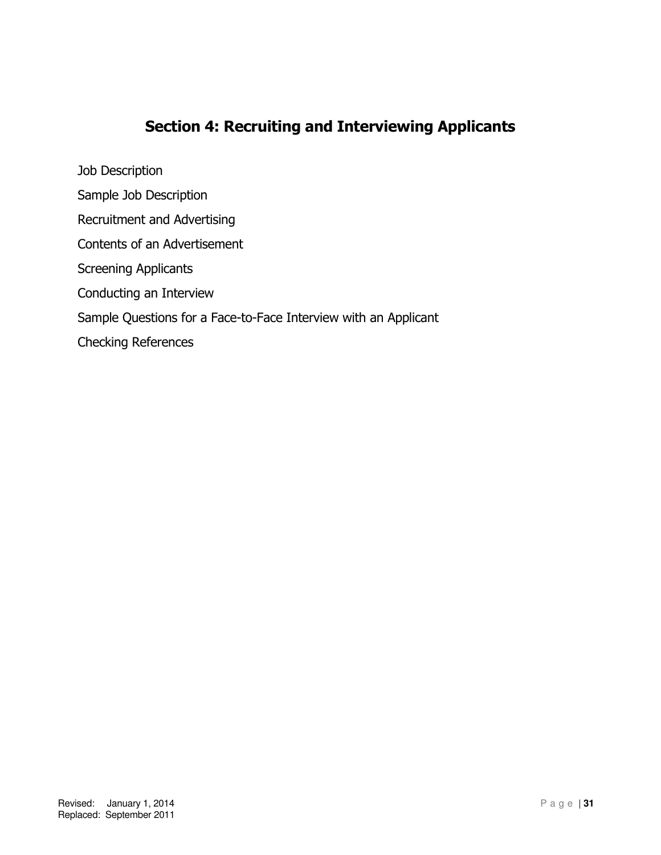# Section 4: Recruiting and Interviewing Applicants

Job Description

- Sample Job Description
- Recruitment and Advertising
- Contents of an Advertisement
- Screening Applicants
- Conducting an Interview
- Sample Questions for a Face-to-Face Interview with an Applicant

Checking References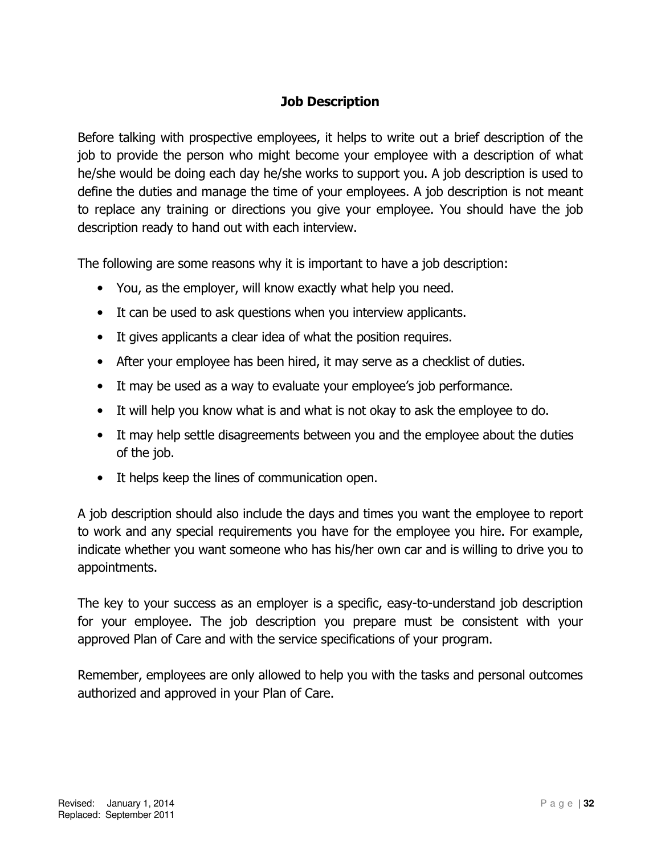# Job Description

Before talking with prospective employees, it helps to write out a brief description of the job to provide the person who might become your employee with a description of what he/she would be doing each day he/she works to support you. A job description is used to define the duties and manage the time of your employees. A job description is not meant to replace any training or directions you give your employee. You should have the job description ready to hand out with each interview.

The following are some reasons why it is important to have a job description:

- You, as the employer, will know exactly what help you need.
- It can be used to ask questions when you interview applicants.
- It gives applicants a clear idea of what the position requires.
- After your employee has been hired, it may serve as a checklist of duties.
- It may be used as a way to evaluate your employee's job performance.
- It will help you know what is and what is not okay to ask the employee to do.
- It may help settle disagreements between you and the employee about the duties of the job.
- It helps keep the lines of communication open.

A job description should also include the days and times you want the employee to report to work and any special requirements you have for the employee you hire. For example, indicate whether you want someone who has his/her own car and is willing to drive you to appointments.

The key to your success as an employer is a specific, easy-to-understand job description for your employee. The job description you prepare must be consistent with your approved Plan of Care and with the service specifications of your program.

Remember, employees are only allowed to help you with the tasks and personal outcomes authorized and approved in your Plan of Care.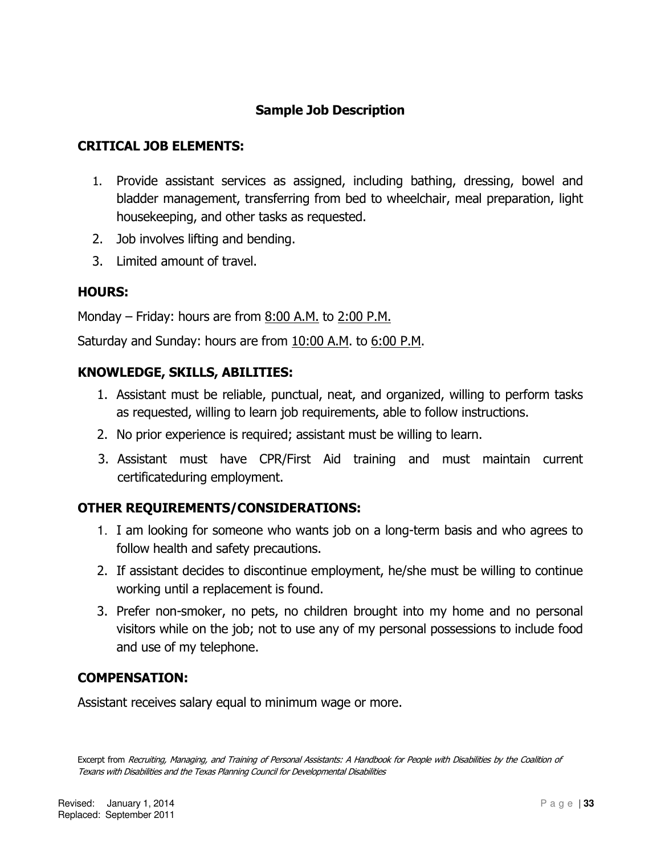# Sample Job Description

#### CRITICAL JOB ELEMENTS:

- 1. Provide assistant services as assigned, including bathing, dressing, bowel and bladder management, transferring from bed to wheelchair, meal preparation, light housekeeping, and other tasks as requested.
- 2. Job involves lifting and bending.
- 3. Limited amount of travel.

#### HOURS:

Monday – Friday: hours are from 8:00 A.M. to 2:00 P.M.

Saturday and Sunday: hours are from 10:00 A.M. to 6:00 P.M.

#### KNOWLEDGE, SKILLS, ABILITIES:

- 1. Assistant must be reliable, punctual, neat, and organized, willing to perform tasks as requested, willing to learn job requirements, able to follow instructions.
- 2. No prior experience is required; assistant must be willing to learn.
- 3. Assistant must have CPR/First Aid training and must maintain current certificateduring employment.

#### OTHER REQUIREMENTS/CONSIDERATIONS:

- 1. I am looking for someone who wants job on a long-term basis and who agrees to follow health and safety precautions.
- 2. If assistant decides to discontinue employment, he/she must be willing to continue working until a replacement is found.
- 3. Prefer non-smoker, no pets, no children brought into my home and no personal visitors while on the job; not to use any of my personal possessions to include food and use of my telephone.

#### COMPENSATION:

Assistant receives salary equal to minimum wage or more.

Excerpt from Recruiting, Managing, and Training of Personal Assistants: A Handbook for People with Disabilities by the Coalition of Texans with Disabilities and the Texas Planning Council for Developmental Disabilities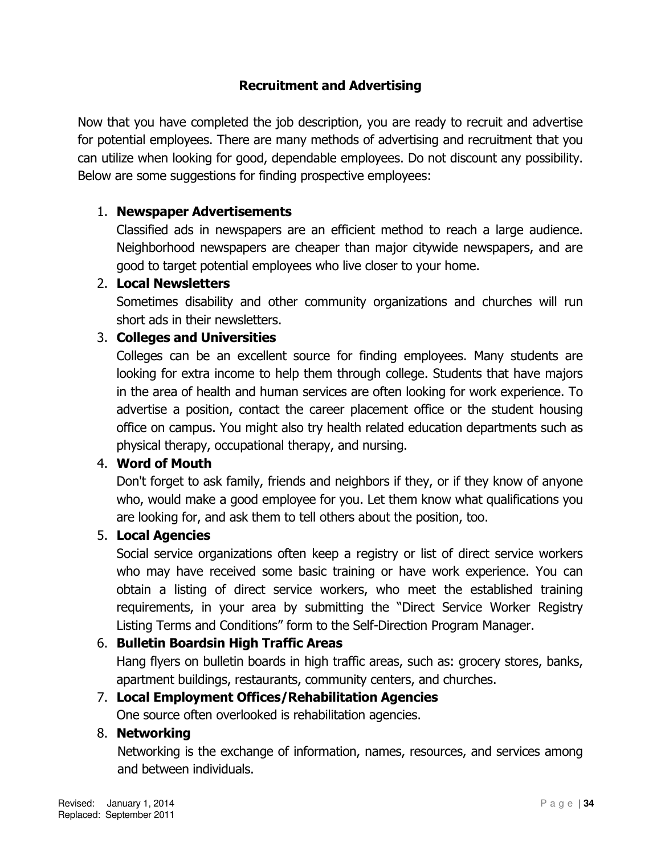#### Recruitment and Advertising

Now that you have completed the job description, you are ready to recruit and advertise for potential employees. There are many methods of advertising and recruitment that you can utilize when looking for good, dependable employees. Do not discount any possibility. Below are some suggestions for finding prospective employees:

#### 1. Newspaper Advertisements

 Classified ads in newspapers are an efficient method to reach a large audience. Neighborhood newspapers are cheaper than major citywide newspapers, and are good to target potential employees who live closer to your home.

#### 2. Local Newsletters

 Sometimes disability and other community organizations and churches will run short ads in their newsletters.

#### 3. Colleges and Universities

 Colleges can be an excellent source for finding employees. Many students are looking for extra income to help them through college. Students that have majors in the area of health and human services are often looking for work experience. To advertise a position, contact the career placement office or the student housing office on campus. You might also try health related education departments such as physical therapy, occupational therapy, and nursing.

#### 4. Word of Mouth

 Don't forget to ask family, friends and neighbors if they, or if they know of anyone who, would make a good employee for you. Let them know what qualifications you are looking for, and ask them to tell others about the position, too.

#### 5. Local Agencies

 Social service organizations often keep a registry or list of direct service workers who may have received some basic training or have work experience. You can obtain a listing of direct service workers, who meet the established training requirements, in your area by submitting the "Direct Service Worker Registry Listing Terms and Conditions" form to the Self-Direction Program Manager.

#### 6. Bulletin Boardsin High Traffic Areas

 Hang flyers on bulletin boards in high traffic areas, such as: grocery stores, banks, apartment buildings, restaurants, community centers, and churches.

#### 7. Local Employment Offices/Rehabilitation Agencies

One source often overlooked is rehabilitation agencies.

#### 8. Networking

Networking is the exchange of information, names, resources, and services among and between individuals.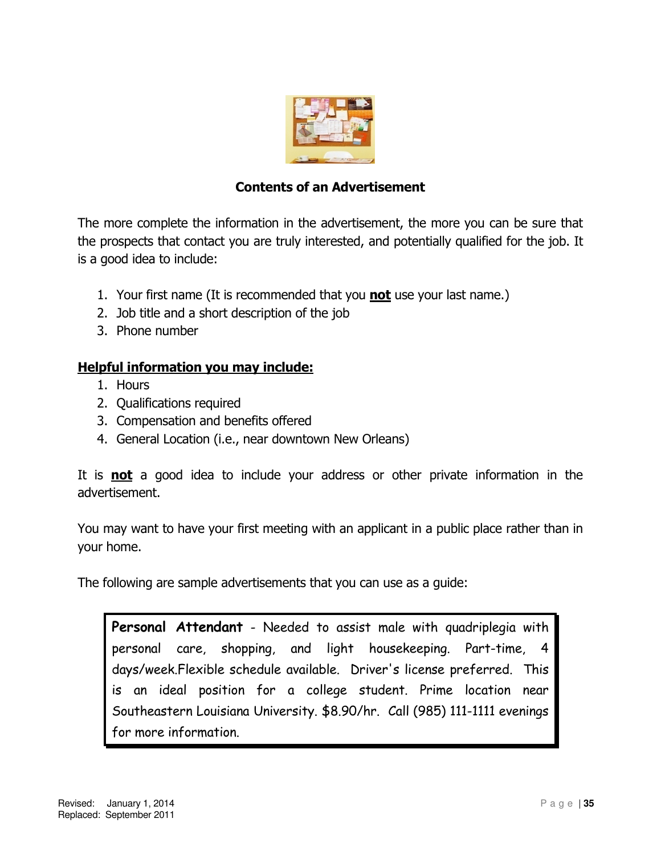

# Contents of an Advertisement

The more complete the information in the advertisement, the more you can be sure that the prospects that contact you are truly interested, and potentially qualified for the job. It is a good idea to include:

- 1. Your first name (It is recommended that you **not** use your last name.)
- 2. Job title and a short description of the job
- 3. Phone number

### Helpful information you may include:

- 1. Hours
- 2. Qualifications required
- 3. Compensation and benefits offered
- 4. General Location (i.e., near downtown New Orleans)

It is **not** a good idea to include your address or other private information in the advertisement.

You may want to have your first meeting with an applicant in a public place rather than in your home.

The following are sample advertisements that you can use as a guide:

Personal Attendant - Needed to assist male with quadriplegia with personal care, shopping, and light housekeeping. Part-time, 4 days/week.Flexible schedule available. Driver's license preferred. This is an ideal position for a college student. Prime location near Southeastern Louisiana University. \$8.90/hr. Call (985) 111-1111 evenings for more information.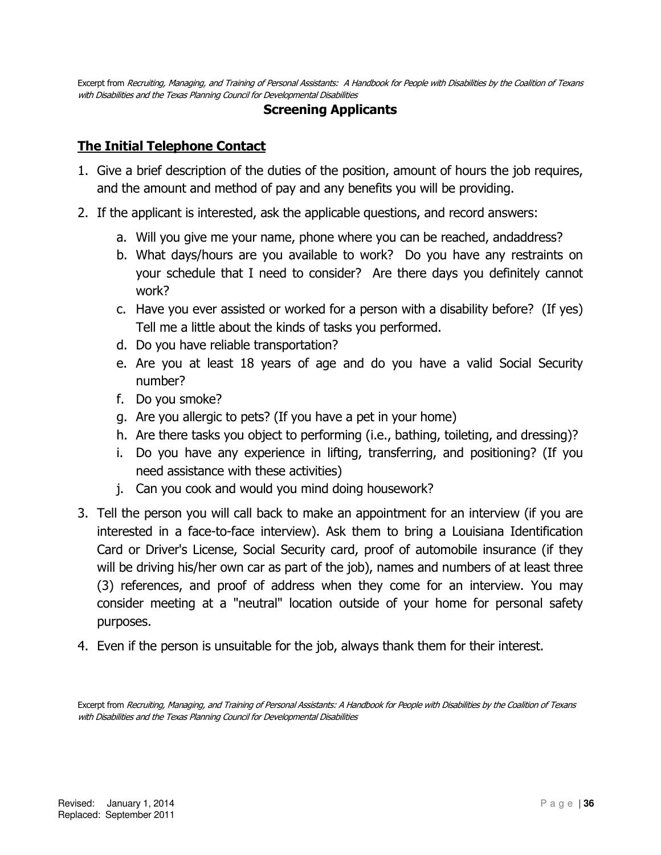Excerpt from Recruiting, Managing, and Training of Personal Assistants: A Handbook for People with Disabilities by the Coalition of Texans with Disabilities and the Texas Planning Council for Developmental Disabilities

#### Screening Applicants

#### The Initial Telephone Contact

- 1. Give a brief description of the duties of the position, amount of hours the job requires, and the amount and method of pay and any benefits you will be providing.
- 2. If the applicant is interested, ask the applicable questions, and record answers:
	- a. Will you give me your name, phone where you can be reached, andaddress?
	- b. What days/hours are you available to work? Do you have any restraints on your schedule that I need to consider? Are there days you definitely cannot work?
	- c. Have you ever assisted or worked for a person with a disability before? (If yes) Tell me a little about the kinds of tasks you performed.
	- d. Do you have reliable transportation?
	- e. Are you at least 18 years of age and do you have a valid Social Security number?
	- f. Do you smoke?
	- g. Are you allergic to pets? (If you have a pet in your home)
	- h. Are there tasks you object to performing (i.e., bathing, toileting, and dressing)?
	- i. Do you have any experience in lifting, transferring, and positioning? (If you need assistance with these activities)
	- j. Can you cook and would you mind doing housework?
- 3. Tell the person you will call back to make an appointment for an interview (if you are interested in a face-to-face interview). Ask them to bring a Louisiana Identification Card or Driver's License, Social Security card, proof of automobile insurance (if they will be driving his/her own car as part of the job), names and numbers of at least three (3) references, and proof of address when they come for an interview. You may consider meeting at a "neutral" location outside of your home for personal safety purposes.
- 4. Even if the person is unsuitable for the job, always thank them for their interest.

Excerpt from Recruiting, Managing, and Training of Personal Assistants: A Handbook for People with Disabilities by the Coalition of Texans with Disabilities and the Texas Planning Council for Developmental Disabilities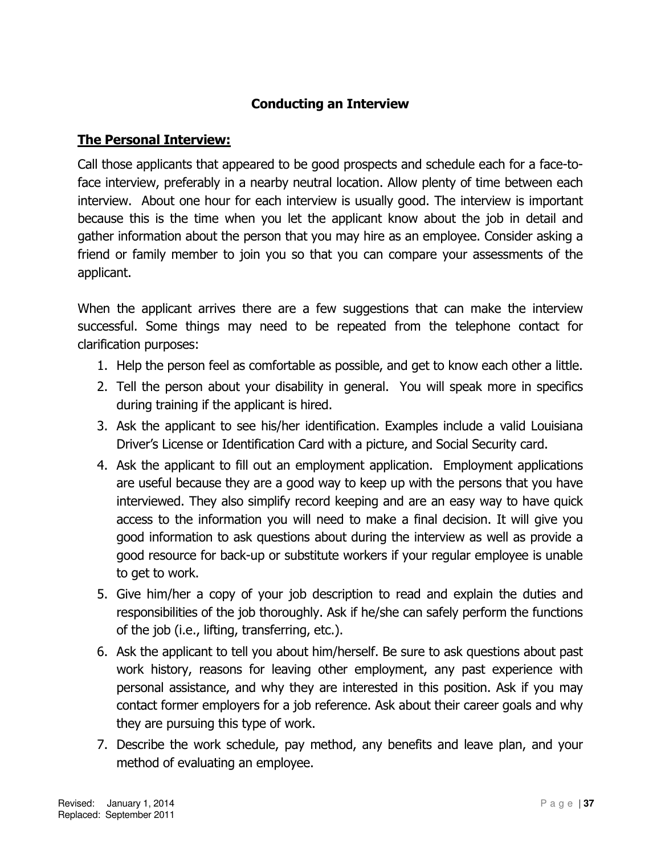# Conducting an Interview

#### The Personal Interview:

Call those applicants that appeared to be good prospects and schedule each for a face-toface interview, preferably in a nearby neutral location. Allow plenty of time between each interview. About one hour for each interview is usually good. The interview is important because this is the time when you let the applicant know about the job in detail and gather information about the person that you may hire as an employee. Consider asking a friend or family member to join you so that you can compare your assessments of the applicant.

When the applicant arrives there are a few suggestions that can make the interview successful. Some things may need to be repeated from the telephone contact for clarification purposes:

- 1. Help the person feel as comfortable as possible, and get to know each other a little.
- 2. Tell the person about your disability in general. You will speak more in specifics during training if the applicant is hired.
- 3. Ask the applicant to see his/her identification. Examples include a valid Louisiana Driver's License or Identification Card with a picture, and Social Security card.
- 4. Ask the applicant to fill out an employment application. Employment applications are useful because they are a good way to keep up with the persons that you have interviewed. They also simplify record keeping and are an easy way to have quick access to the information you will need to make a final decision. It will give you good information to ask questions about during the interview as well as provide a good resource for back-up or substitute workers if your regular employee is unable to get to work.
- 5. Give him/her a copy of your job description to read and explain the duties and responsibilities of the job thoroughly. Ask if he/she can safely perform the functions of the job (i.e., lifting, transferring, etc.).
- 6. Ask the applicant to tell you about him/herself. Be sure to ask questions about past work history, reasons for leaving other employment, any past experience with personal assistance, and why they are interested in this position. Ask if you may contact former employers for a job reference. Ask about their career goals and why they are pursuing this type of work.
- 7. Describe the work schedule, pay method, any benefits and leave plan, and your method of evaluating an employee.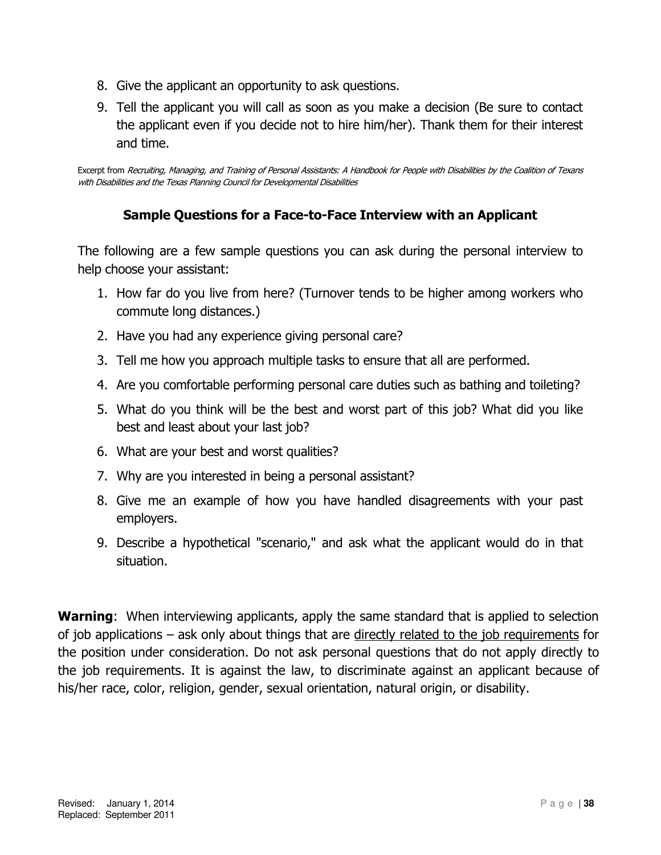- 8. Give the applicant an opportunity to ask questions.
- 9. Tell the applicant you will call as soon as you make a decision (Be sure to contact the applicant even if you decide not to hire him/her). Thank them for their interest and time.

Excerpt from Recruiting, Managing, and Training of Personal Assistants: A Handbook for People with Disabilities by the Coalition of Texans with Disabilities and the Texas Planning Council for Developmental Disabilities

#### Sample Questions for a Face-to-Face Interview with an Applicant

The following are a few sample questions you can ask during the personal interview to help choose your assistant:

- 1. How far do you live from here? (Turnover tends to be higher among workers who commute long distances.)
- 2. Have you had any experience giving personal care?
- 3. Tell me how you approach multiple tasks to ensure that all are performed.
- 4. Are you comfortable performing personal care duties such as bathing and toileting?
- 5. What do you think will be the best and worst part of this job? What did you like best and least about your last job?
- 6. What are your best and worst qualities?
- 7. Why are you interested in being a personal assistant?
- 8. Give me an example of how you have handled disagreements with your past employers.
- 9. Describe a hypothetical "scenario," and ask what the applicant would do in that situation.

**Warning:** When interviewing applicants, apply the same standard that is applied to selection of job applications – ask only about things that are directly related to the job requirements for the position under consideration. Do not ask personal questions that do not apply directly to the job requirements. It is against the law, to discriminate against an applicant because of his/her race, color, religion, gender, sexual orientation, natural origin, or disability.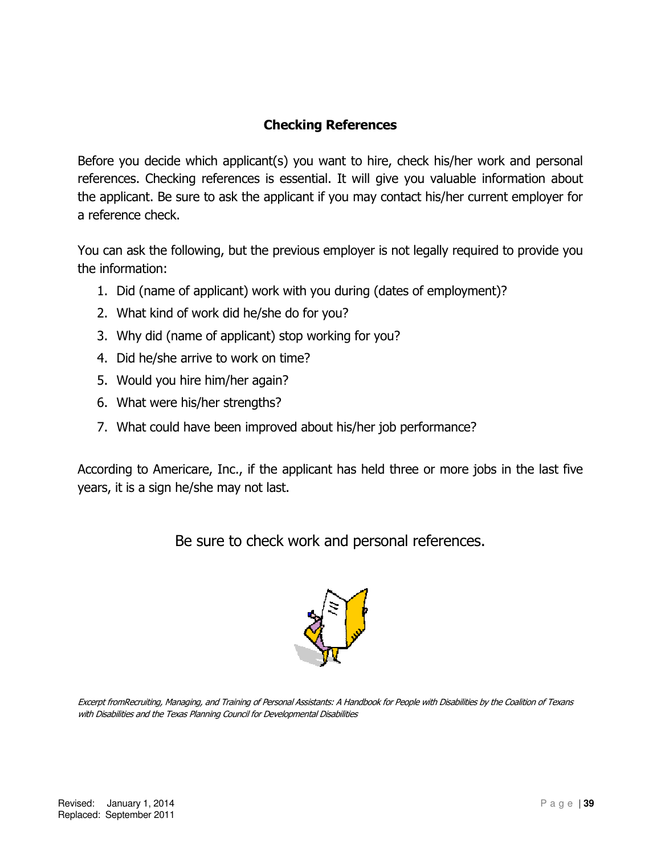# Checking References

Before you decide which applicant(s) you want to hire, check his/her work and personal references. Checking references is essential. It will give you valuable information about the applicant. Be sure to ask the applicant if you may contact his/her current employer for a reference check.

You can ask the following, but the previous employer is not legally required to provide you the information:

- 1. Did (name of applicant) work with you during (dates of employment)?
- 2. What kind of work did he/she do for you?
- 3. Why did (name of applicant) stop working for you?
- 4. Did he/she arrive to work on time?
- 5. Would you hire him/her again?
- 6. What were his/her strengths?
- 7. What could have been improved about his/her job performance?

According to Americare, Inc., if the applicant has held three or more jobs in the last five years, it is a sign he/she may not last.

Be sure to check work and personal references.



Excerpt fromRecruiting, Managing, and Training of Personal Assistants: A Handbook for People with Disabilities by the Coalition of Texans with Disabilities and the Texas Planning Council for Developmental Disabilities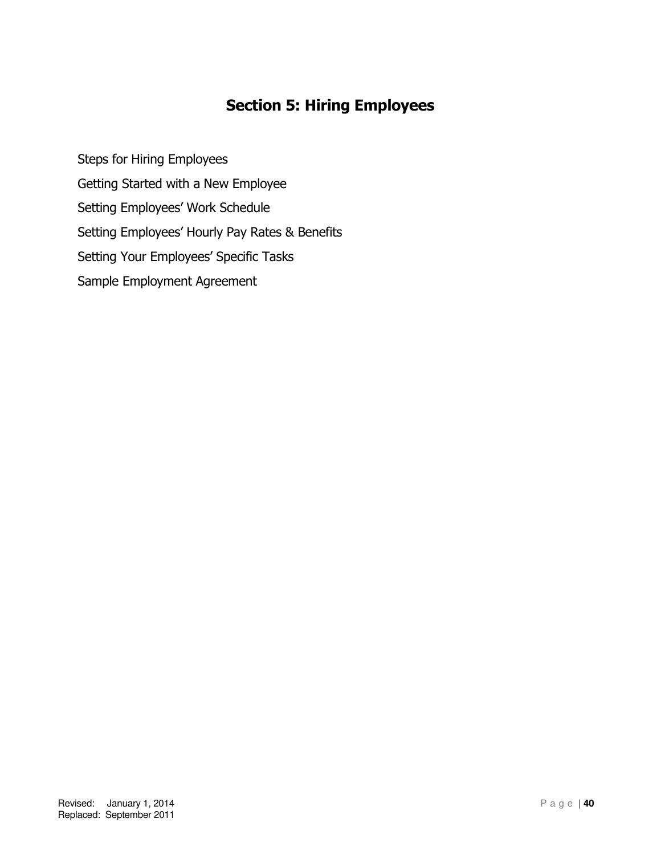# Section 5: Hiring Employees

Steps for Hiring Employees Getting Started with a New Employee Setting Employees' Work Schedule Setting Employees' Hourly Pay Rates & Benefits Setting Your Employees' Specific Tasks Sample Employment Agreement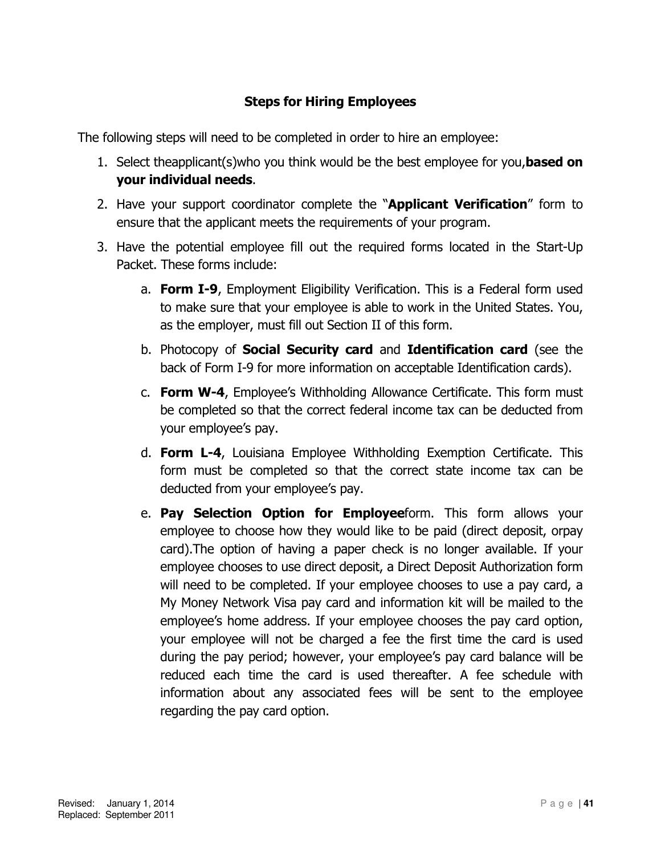# Steps for Hiring Employees

The following steps will need to be completed in order to hire an employee:

- 1. Select theapplicant(s)who you think would be the best employee for you, **based on** your individual needs.
- 2. Have your support coordinator complete the "**Applicant Verification**" form to ensure that the applicant meets the requirements of your program.
- 3. Have the potential employee fill out the required forms located in the Start-Up Packet. These forms include:
	- a. Form I-9, Employment Eligibility Verification. This is a Federal form used to make sure that your employee is able to work in the United States. You, as the employer, must fill out Section II of this form.
	- b. Photocopy of **Social Security card** and **Identification card** (see the back of Form I-9 for more information on acceptable Identification cards).
	- c. Form W-4, Employee's Withholding Allowance Certificate. This form must be completed so that the correct federal income tax can be deducted from your employee's pay.
	- d. Form L-4, Louisiana Employee Withholding Exemption Certificate. This form must be completed so that the correct state income tax can be deducted from your employee's pay.
	- e. Pay Selection Option for Employeeform. This form allows your employee to choose how they would like to be paid (direct deposit, orpay card).The option of having a paper check is no longer available. If your employee chooses to use direct deposit, a Direct Deposit Authorization form will need to be completed. If your employee chooses to use a pay card, a My Money Network Visa pay card and information kit will be mailed to the employee's home address. If your employee chooses the pay card option, your employee will not be charged a fee the first time the card is used during the pay period; however, your employee's pay card balance will be reduced each time the card is used thereafter. A fee schedule with information about any associated fees will be sent to the employee regarding the pay card option.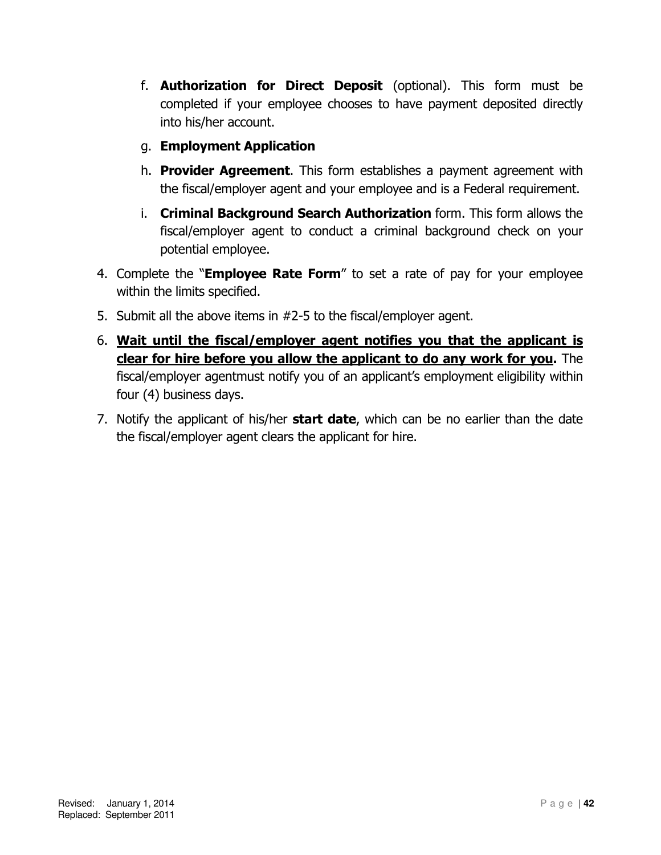- f. Authorization for Direct Deposit (optional). This form must be completed if your employee chooses to have payment deposited directly into his/her account.
- g. Employment Application
- h. **Provider Agreement**. This form establishes a payment agreement with the fiscal/employer agent and your employee and is a Federal requirement.
- i. Criminal Background Search Authorization form. This form allows the fiscal/employer agent to conduct a criminal background check on your potential employee.
- 4. Complete the "**Employee Rate Form**" to set a rate of pay for your employee within the limits specified.
- 5. Submit all the above items in #2-5 to the fiscal/employer agent.
- 6. Wait until the fiscal/employer agent notifies you that the applicant is clear for hire before you allow the applicant to do any work for you. The fiscal/employer agentmust notify you of an applicant's employment eligibility within four (4) business days.
- 7. Notify the applicant of his/her start date, which can be no earlier than the date the fiscal/employer agent clears the applicant for hire.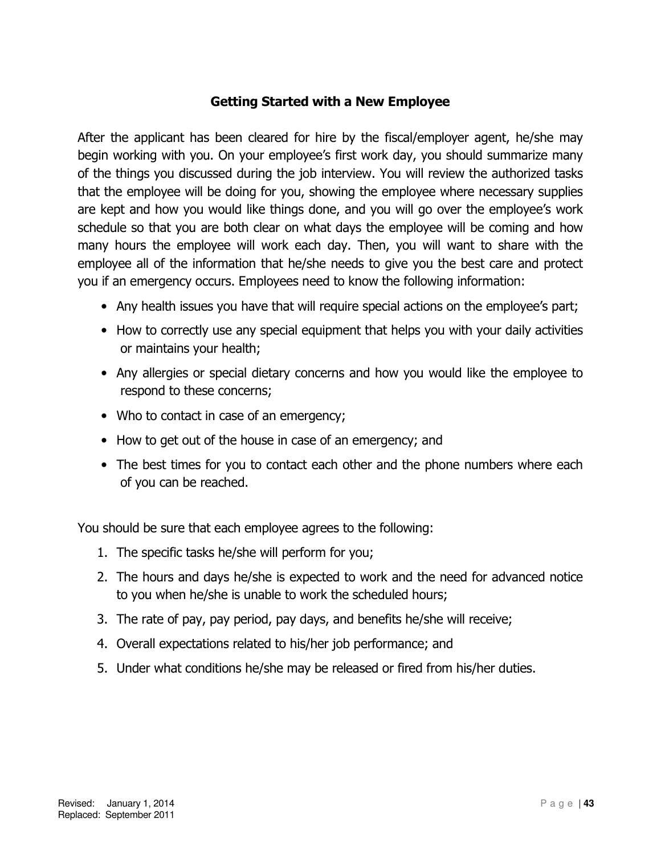#### Getting Started with a New Employee

After the applicant has been cleared for hire by the fiscal/employer agent, he/she may begin working with you. On your employee's first work day, you should summarize many of the things you discussed during the job interview. You will review the authorized tasks that the employee will be doing for you, showing the employee where necessary supplies are kept and how you would like things done, and you will go over the employee's work schedule so that you are both clear on what days the employee will be coming and how many hours the employee will work each day. Then, you will want to share with the employee all of the information that he/she needs to give you the best care and protect you if an emergency occurs. Employees need to know the following information:

- Any health issues you have that will require special actions on the employee's part;
- How to correctly use any special equipment that helps you with your daily activities or maintains your health;
- Any allergies or special dietary concerns and how you would like the employee to respond to these concerns;
- Who to contact in case of an emergency;
- How to get out of the house in case of an emergency; and
- The best times for you to contact each other and the phone numbers where each of you can be reached.

You should be sure that each employee agrees to the following:

- 1. The specific tasks he/she will perform for you;
- 2. The hours and days he/she is expected to work and the need for advanced notice to you when he/she is unable to work the scheduled hours;
- 3. The rate of pay, pay period, pay days, and benefits he/she will receive;
- 4. Overall expectations related to his/her job performance; and
- 5. Under what conditions he/she may be released or fired from his/her duties.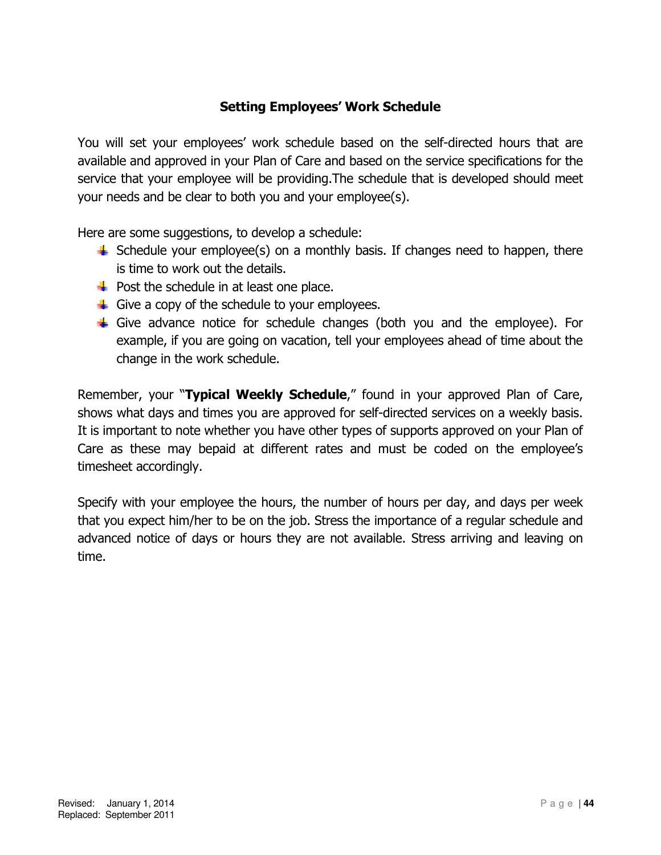### Setting Employees' Work Schedule

You will set your employees' work schedule based on the self-directed hours that are available and approved in your Plan of Care and based on the service specifications for the service that your employee will be providing.The schedule that is developed should meet your needs and be clear to both you and your employee(s).

Here are some suggestions, to develop a schedule:

- $\frac{1}{2}$  Schedule your employee(s) on a monthly basis. If changes need to happen, there is time to work out the details.
- $\blacksquare$  Post the schedule in at least one place.
- $\downarrow$  Give a copy of the schedule to your employees.
- $\downarrow$  Give advance notice for schedule changes (both you and the employee). For example, if you are going on vacation, tell your employees ahead of time about the change in the work schedule.

Remember, your "Typical Weekly Schedule," found in your approved Plan of Care, shows what days and times you are approved for self-directed services on a weekly basis. It is important to note whether you have other types of supports approved on your Plan of Care as these may bepaid at different rates and must be coded on the employee's timesheet accordingly.

Specify with your employee the hours, the number of hours per day, and days per week that you expect him/her to be on the job. Stress the importance of a regular schedule and advanced notice of days or hours they are not available. Stress arriving and leaving on time.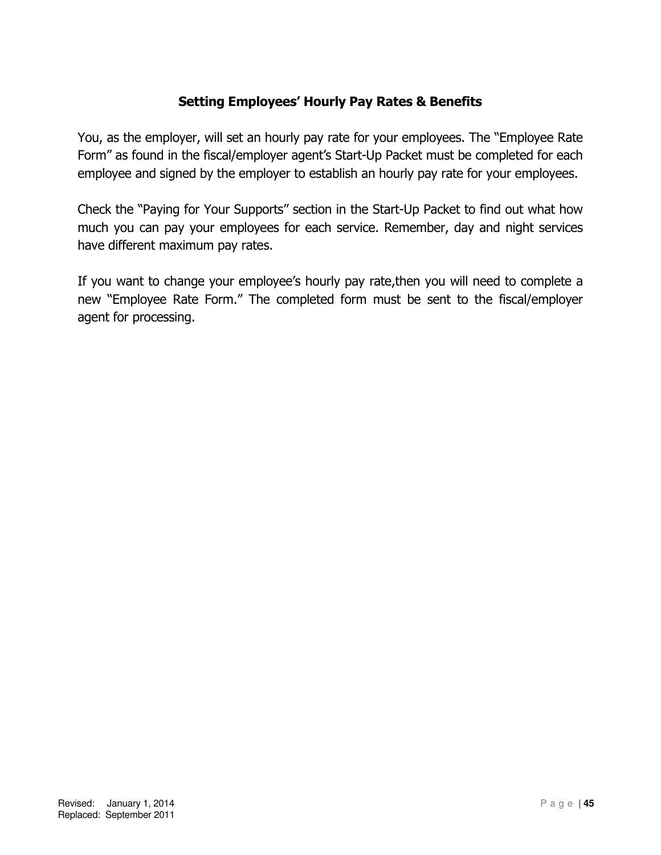# Setting Employees' Hourly Pay Rates & Benefits

You, as the employer, will set an hourly pay rate for your employees. The "Employee Rate Form" as found in the fiscal/employer agent's Start-Up Packet must be completed for each employee and signed by the employer to establish an hourly pay rate for your employees.

Check the "Paying for Your Supports" section in the Start-Up Packet to find out what how much you can pay your employees for each service. Remember, day and night services have different maximum pay rates.

If you want to change your employee's hourly pay rate,then you will need to complete a new "Employee Rate Form." The completed form must be sent to the fiscal/employer agent for processing.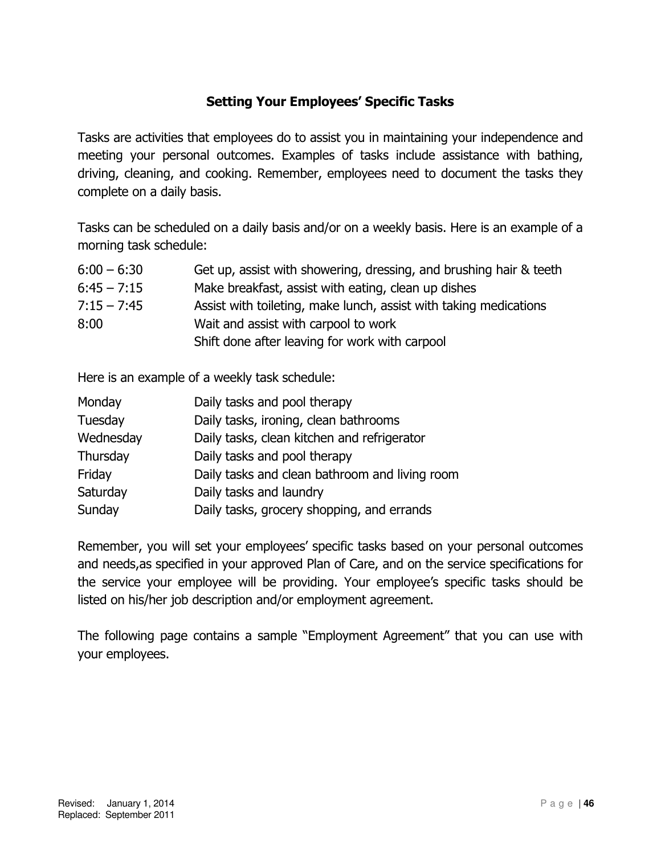# Setting Your Employees' Specific Tasks

Tasks are activities that employees do to assist you in maintaining your independence and meeting your personal outcomes. Examples of tasks include assistance with bathing, driving, cleaning, and cooking. Remember, employees need to document the tasks they complete on a daily basis.

Tasks can be scheduled on a daily basis and/or on a weekly basis. Here is an example of a morning task schedule:

| $6:00 - 6:30$ | Get up, assist with showering, dressing, and brushing hair & teeth |
|---------------|--------------------------------------------------------------------|
| $6:45 - 7:15$ | Make breakfast, assist with eating, clean up dishes                |
| $7:15 - 7:45$ | Assist with toileting, make lunch, assist with taking medications  |
| 8:00          | Wait and assist with carpool to work                               |
|               | Shift done after leaving for work with carpool                     |

Here is an example of a weekly task schedule:

| Monday    | Daily tasks and pool therapy                   |  |
|-----------|------------------------------------------------|--|
| Tuesday   | Daily tasks, ironing, clean bathrooms          |  |
| Wednesday | Daily tasks, clean kitchen and refrigerator    |  |
| Thursday  | Daily tasks and pool therapy                   |  |
| Friday    | Daily tasks and clean bathroom and living room |  |
| Saturday  | Daily tasks and laundry                        |  |
| Sunday    | Daily tasks, grocery shopping, and errands     |  |

Remember, you will set your employees' specific tasks based on your personal outcomes and needs,as specified in your approved Plan of Care, and on the service specifications for the service your employee will be providing. Your employee's specific tasks should be listed on his/her job description and/or employment agreement.

The following page contains a sample "Employment Agreement" that you can use with your employees.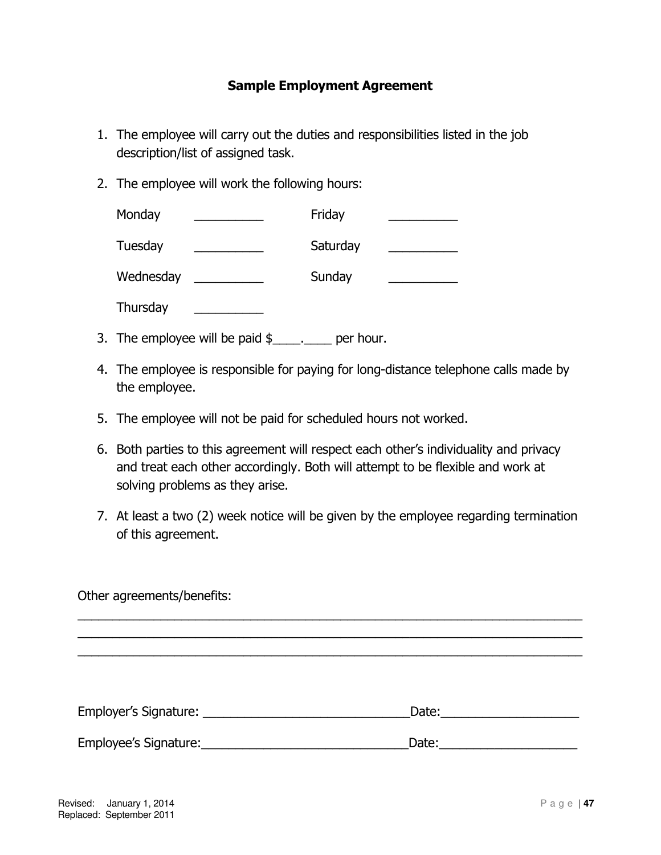#### Sample Employment Agreement

- 1. The employee will carry out the duties and responsibilities listed in the job description/list of assigned task.
- 2. The employee will work the following hours:

| Monday  | Friday   |  |
|---------|----------|--|
| Tuesday | Saturday |  |

Wednesday \_\_\_\_\_\_\_\_\_\_\_\_\_ Sunday \_\_\_\_\_\_\_\_\_\_

Thursday \_\_\_\_\_\_\_\_\_\_

- 3. The employee will be paid \$\_\_\_\_\_. per hour.
- 4. The employee is responsible for paying for long-distance telephone calls made by the employee.
- 5. The employee will not be paid for scheduled hours not worked.
- 6. Both parties to this agreement will respect each other's individuality and privacy and treat each other accordingly. Both will attempt to be flexible and work at solving problems as they arise.
- 7. At least a two (2) week notice will be given by the employee regarding termination of this agreement.

Other agreements/benefits:

| Employer's Signature: | Date: |
|-----------------------|-------|
|                       |       |
| Employee's Signature: | Date: |

\_\_\_\_\_\_\_\_\_\_\_\_\_\_\_\_\_\_\_\_\_\_\_\_\_\_\_\_\_\_\_\_\_\_\_\_\_\_\_\_\_\_\_\_\_\_\_\_\_\_\_\_\_\_\_\_\_\_\_\_\_\_\_\_\_\_\_\_\_\_\_\_\_ \_\_\_\_\_\_\_\_\_\_\_\_\_\_\_\_\_\_\_\_\_\_\_\_\_\_\_\_\_\_\_\_\_\_\_\_\_\_\_\_\_\_\_\_\_\_\_\_\_\_\_\_\_\_\_\_\_\_\_\_\_\_\_\_\_\_\_\_\_\_\_\_\_ \_\_\_\_\_\_\_\_\_\_\_\_\_\_\_\_\_\_\_\_\_\_\_\_\_\_\_\_\_\_\_\_\_\_\_\_\_\_\_\_\_\_\_\_\_\_\_\_\_\_\_\_\_\_\_\_\_\_\_\_\_\_\_\_\_\_\_\_\_\_\_\_\_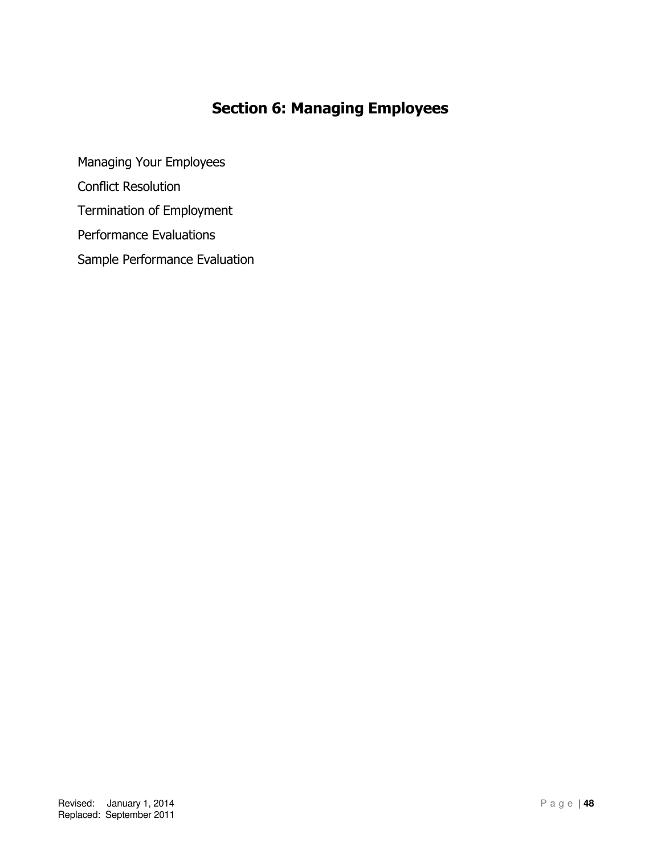# Section 6: Managing Employees

Managing Your Employees Conflict Resolution Termination of Employment Performance Evaluations Sample Performance Evaluation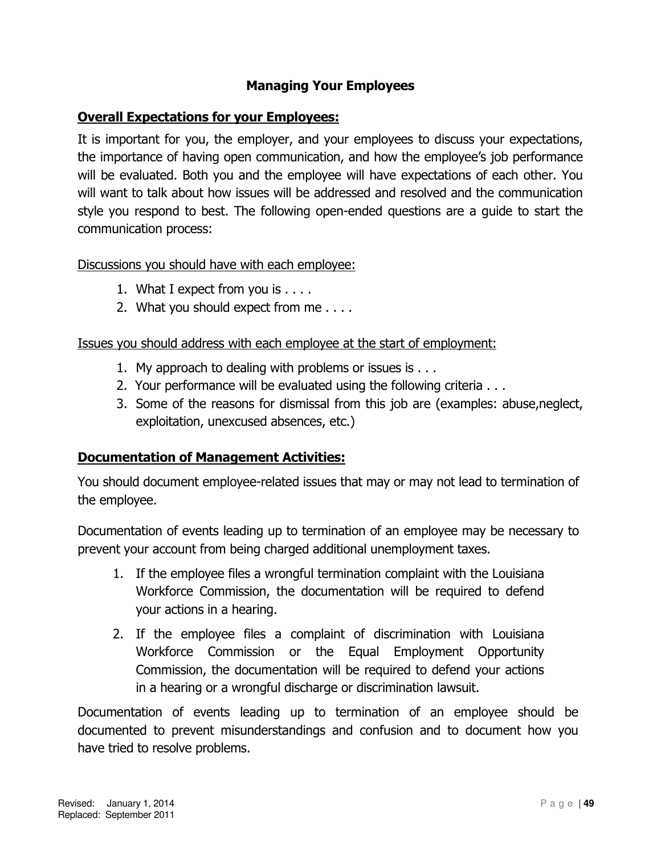#### Managing Your Employees

#### Overall Expectations for your Employees:

It is important for you, the employer, and your employees to discuss your expectations, the importance of having open communication, and how the employee's job performance will be evaluated. Both you and the employee will have expectations of each other. You will want to talk about how issues will be addressed and resolved and the communication style you respond to best. The following open-ended questions are a guide to start the communication process:

Discussions you should have with each employee:

- 1. What I expect from you is . . . .
- 2. What you should expect from me . . . .

Issues you should address with each employee at the start of employment:

- 1. My approach to dealing with problems or issues is . . .
- 2. Your performance will be evaluated using the following criteria . . .
- 3. Some of the reasons for dismissal from this job are (examples: abuse,neglect, exploitation, unexcused absences, etc.)

#### Documentation of Management Activities:

You should document employee-related issues that may or may not lead to termination of the employee.

Documentation of events leading up to termination of an employee may be necessary to prevent your account from being charged additional unemployment taxes.

- 1. If the employee files a wrongful termination complaint with the Louisiana Workforce Commission, the documentation will be required to defend your actions in a hearing.
- 2. If the employee files a complaint of discrimination with Louisiana Workforce Commission or the Equal Employment Opportunity Commission, the documentation will be required to defend your actions in a hearing or a wrongful discharge or discrimination lawsuit.

Documentation of events leading up to termination of an employee should be documented to prevent misunderstandings and confusion and to document how you have tried to resolve problems.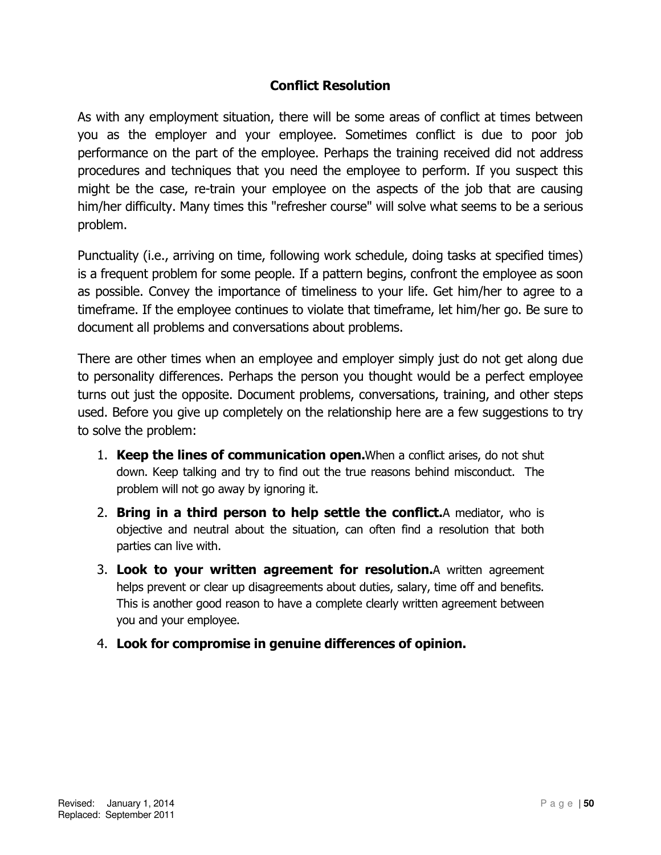#### Conflict Resolution

As with any employment situation, there will be some areas of conflict at times between you as the employer and your employee. Sometimes conflict is due to poor job performance on the part of the employee. Perhaps the training received did not address procedures and techniques that you need the employee to perform. If you suspect this might be the case, re-train your employee on the aspects of the job that are causing him/her difficulty. Many times this "refresher course" will solve what seems to be a serious problem.

Punctuality (i.e., arriving on time, following work schedule, doing tasks at specified times) is a frequent problem for some people. If a pattern begins, confront the employee as soon as possible. Convey the importance of timeliness to your life. Get him/her to agree to a timeframe. If the employee continues to violate that timeframe, let him/her go. Be sure to document all problems and conversations about problems.

There are other times when an employee and employer simply just do not get along due to personality differences. Perhaps the person you thought would be a perfect employee turns out just the opposite. Document problems, conversations, training, and other steps used. Before you give up completely on the relationship here are a few suggestions to try to solve the problem:

- 1. Keep the lines of communication open. When a conflict arises, do not shut down. Keep talking and try to find out the true reasons behind misconduct. The problem will not go away by ignoring it.
- 2. Bring in a third person to help settle the conflict.A mediator, who is objective and neutral about the situation, can often find a resolution that both parties can live with.
- 3. Look to your written agreement for resolution.A written agreement helps prevent or clear up disagreements about duties, salary, time off and benefits. This is another good reason to have a complete clearly written agreement between you and your employee.
- 4. Look for compromise in genuine differences of opinion.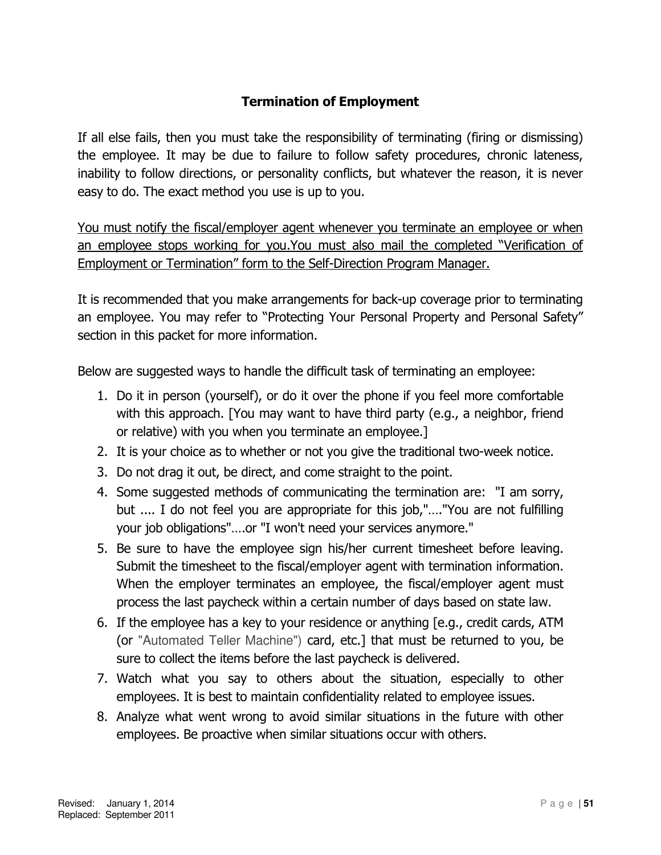# Termination of Employment

If all else fails, then you must take the responsibility of terminating (firing or dismissing) the employee. It may be due to failure to follow safety procedures, chronic lateness, inability to follow directions, or personality conflicts, but whatever the reason, it is never easy to do. The exact method you use is up to you.

You must notify the fiscal/employer agent whenever you terminate an employee or when an employee stops working for you.You must also mail the completed "Verification of Employment or Termination" form to the Self-Direction Program Manager.

It is recommended that you make arrangements for back-up coverage prior to terminating an employee. You may refer to "Protecting Your Personal Property and Personal Safety" section in this packet for more information.

Below are suggested ways to handle the difficult task of terminating an employee:

- 1. Do it in person (yourself), or do it over the phone if you feel more comfortable with this approach. [You may want to have third party (e.g., a neighbor, friend or relative) with you when you terminate an employee.]
- 2. It is your choice as to whether or not you give the traditional two-week notice.
- 3. Do not drag it out, be direct, and come straight to the point.
- 4. Some suggested methods of communicating the termination are: "I am sorry, but .... I do not feel you are appropriate for this job,"…."You are not fulfilling your job obligations"….or "I won't need your services anymore."
- 5. Be sure to have the employee sign his/her current timesheet before leaving. Submit the timesheet to the fiscal/employer agent with termination information. When the employer terminates an employee, the fiscal/employer agent must process the last paycheck within a certain number of days based on state law.
- 6. If the employee has a key to your residence or anything [e.g., credit cards, ATM (or "Automated Teller Machine") card, etc.] that must be returned to you, be sure to collect the items before the last paycheck is delivered.
- 7. Watch what you say to others about the situation, especially to other employees. It is best to maintain confidentiality related to employee issues.
- 8. Analyze what went wrong to avoid similar situations in the future with other employees. Be proactive when similar situations occur with others.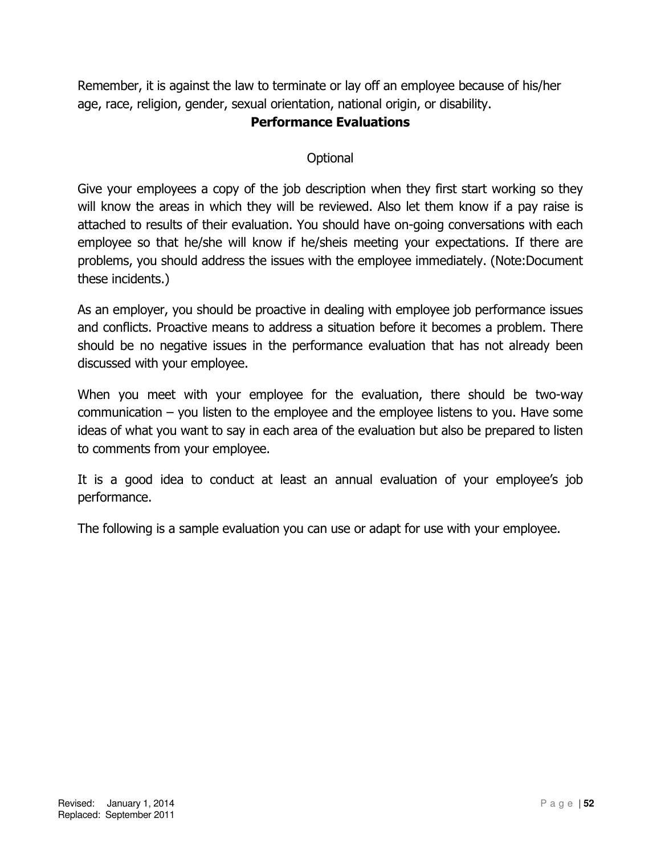Remember, it is against the law to terminate or lay off an employee because of his/her age, race, religion, gender, sexual orientation, national origin, or disability.

#### Performance Evaluations

#### **Optional**

Give your employees a copy of the job description when they first start working so they will know the areas in which they will be reviewed. Also let them know if a pay raise is attached to results of their evaluation. You should have on-going conversations with each employee so that he/she will know if he/sheis meeting your expectations. If there are problems, you should address the issues with the employee immediately. (Note:Document these incidents.)

As an employer, you should be proactive in dealing with employee job performance issues and conflicts. Proactive means to address a situation before it becomes a problem. There should be no negative issues in the performance evaluation that has not already been discussed with your employee.

When you meet with your employee for the evaluation, there should be two-way communication – you listen to the employee and the employee listens to you. Have some ideas of what you want to say in each area of the evaluation but also be prepared to listen to comments from your employee.

It is a good idea to conduct at least an annual evaluation of your employee's job performance.

The following is a sample evaluation you can use or adapt for use with your employee.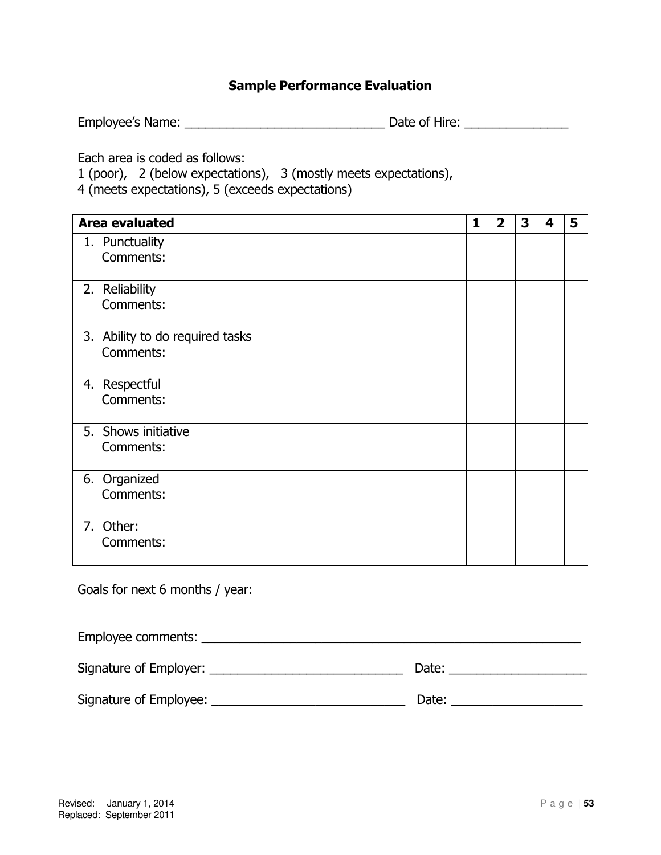# Sample Performance Evaluation

| Employee's Name: | Date of Hire: |  |
|------------------|---------------|--|
|                  |               |  |

Each area is coded as follows:

1 (poor), 2 (below expectations), 3 (mostly meets expectations),

4 (meets expectations), 5 (exceeds expectations)

| <b>Area evaluated</b>           | 1 | $\overline{\mathbf{2}}$ | 3 | 4 | 5 |
|---------------------------------|---|-------------------------|---|---|---|
| 1. Punctuality                  |   |                         |   |   |   |
| Comments:                       |   |                         |   |   |   |
| 2. Reliability                  |   |                         |   |   |   |
| Comments:                       |   |                         |   |   |   |
| 3. Ability to do required tasks |   |                         |   |   |   |
| Comments:                       |   |                         |   |   |   |
| 4. Respectful                   |   |                         |   |   |   |
| Comments:                       |   |                         |   |   |   |
| 5. Shows initiative             |   |                         |   |   |   |
| Comments:                       |   |                         |   |   |   |
| 6. Organized                    |   |                         |   |   |   |
| Comments:                       |   |                         |   |   |   |
| 7. Other:                       |   |                         |   |   |   |
| Comments:                       |   |                         |   |   |   |
|                                 |   |                         |   |   |   |

Goals for next 6 months / year:

| Employee comments:     |       |
|------------------------|-------|
| Signature of Employer: | Date: |
| Signature of Employee: | Date: |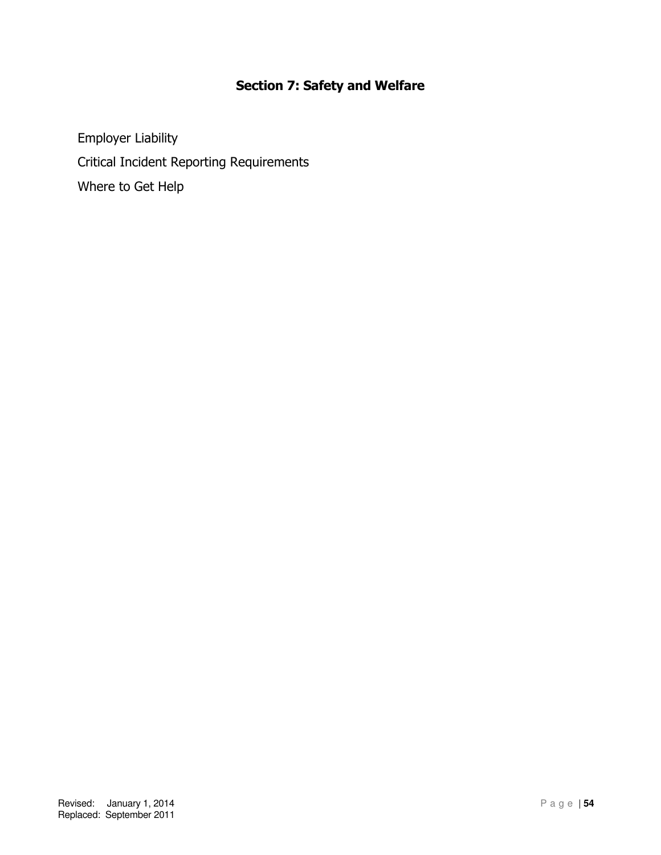# Section 7: Safety and Welfare

Employer Liability Critical Incident Reporting Requirements Where to Get Help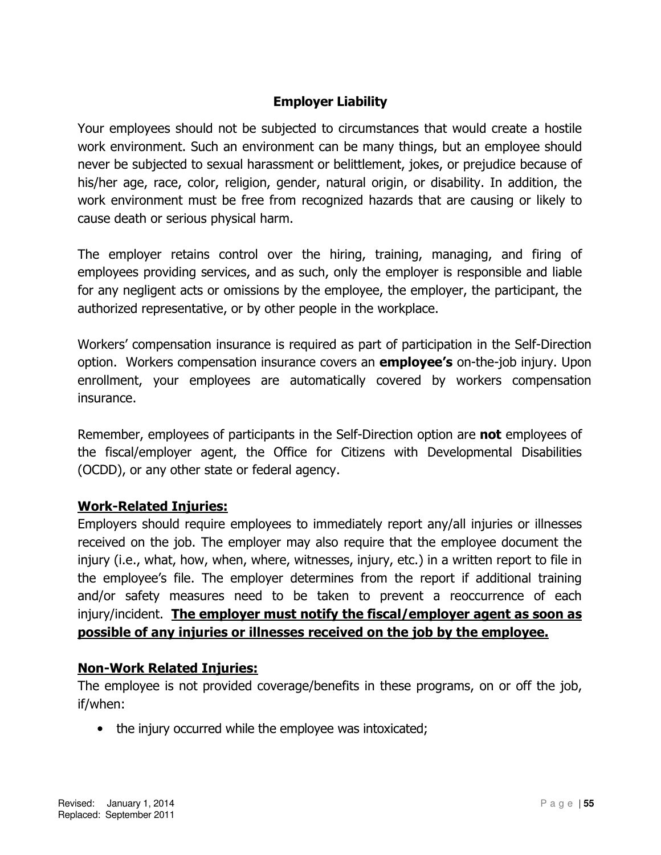# Employer Liability

Your employees should not be subjected to circumstances that would create a hostile work environment. Such an environment can be many things, but an employee should never be subjected to sexual harassment or belittlement, jokes, or prejudice because of his/her age, race, color, religion, gender, natural origin, or disability. In addition, the work environment must be free from recognized hazards that are causing or likely to cause death or serious physical harm.

The employer retains control over the hiring, training, managing, and firing of employees providing services, and as such, only the employer is responsible and liable for any negligent acts or omissions by the employee, the employer, the participant, the authorized representative, or by other people in the workplace.

Workers' compensation insurance is required as part of participation in the Self-Direction option. Workers compensation insurance covers an **employee's** on-the-job injury. Upon enrollment, your employees are automatically covered by workers compensation insurance.

Remember, employees of participants in the Self-Direction option are **not** employees of the fiscal/employer agent, the Office for Citizens with Developmental Disabilities (OCDD), or any other state or federal agency.

#### Work-Related Injuries:

Employers should require employees to immediately report any/all injuries or illnesses received on the job. The employer may also require that the employee document the injury (i.e., what, how, when, where, witnesses, injury, etc.) in a written report to file in the employee's file. The employer determines from the report if additional training and/or safety measures need to be taken to prevent a reoccurrence of each injury/incident. The employer must notify the fiscal/employer agent as soon as possible of any injuries or illnesses received on the job by the employee.

#### Non-Work Related Injuries:

The employee is not provided coverage/benefits in these programs, on or off the job, if/when:

• the injury occurred while the employee was intoxicated;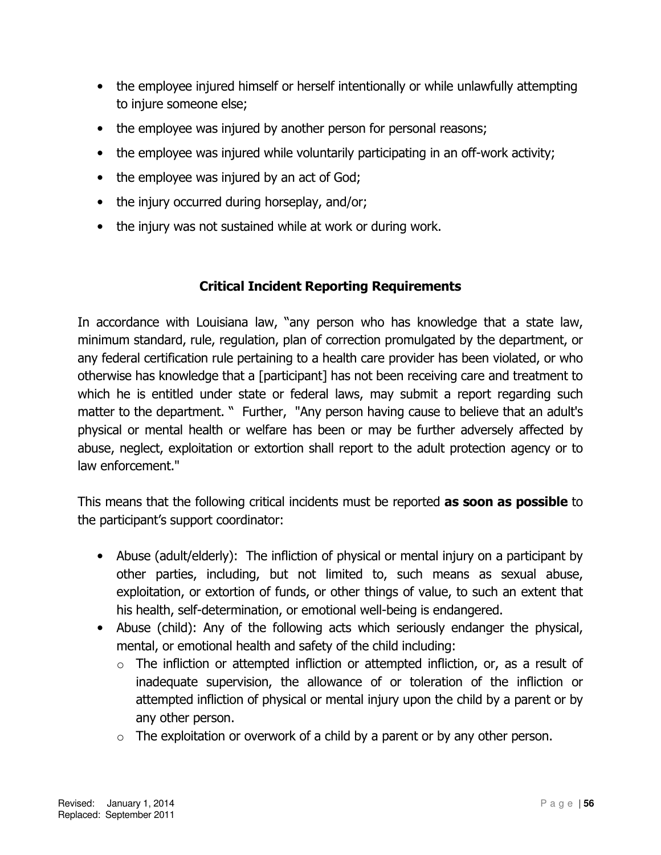- the employee injured himself or herself intentionally or while unlawfully attempting to injure someone else;
- the employee was injured by another person for personal reasons;
- the employee was injured while voluntarily participating in an off-work activity;
- the employee was injured by an act of God;
- the injury occurred during horseplay, and/or;
- the injury was not sustained while at work or during work.

#### Critical Incident Reporting Requirements

In accordance with Louisiana law, "any person who has knowledge that a state law, minimum standard, rule, regulation, plan of correction promulgated by the department, or any federal certification rule pertaining to a health care provider has been violated, or who otherwise has knowledge that a [participant] has not been receiving care and treatment to which he is entitled under state or federal laws, may submit a report regarding such matter to the department. " Further, "Any person having cause to believe that an adult's physical or mental health or welfare has been or may be further adversely affected by abuse, neglect, exploitation or extortion shall report to the adult protection agency or to law enforcement."

This means that the following critical incidents must be reported **as soon as possible** to the participant's support coordinator:

- Abuse (adult/elderly): The infliction of physical or mental injury on a participant by other parties, including, but not limited to, such means as sexual abuse, exploitation, or extortion of funds, or other things of value, to such an extent that his health, self-determination, or emotional well-being is endangered.
- Abuse (child): Any of the following acts which seriously endanger the physical, mental, or emotional health and safety of the child including:
	- $\circ$  The infliction or attempted infliction or attempted infliction, or, as a result of inadequate supervision, the allowance of or toleration of the infliction or attempted infliction of physical or mental injury upon the child by a parent or by any other person.
	- $\circ$  The exploitation or overwork of a child by a parent or by any other person.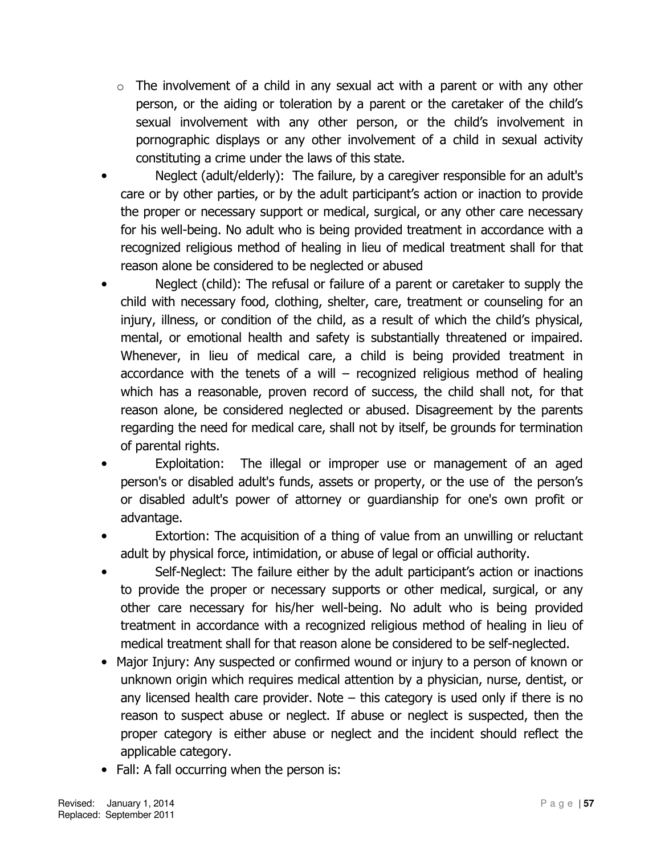- $\circ$  The involvement of a child in any sexual act with a parent or with any other person, or the aiding or toleration by a parent or the caretaker of the child's sexual involvement with any other person, or the child's involvement in pornographic displays or any other involvement of a child in sexual activity constituting a crime under the laws of this state.
- Neglect (adult/elderly): The failure, by a caregiver responsible for an adult's care or by other parties, or by the adult participant's action or inaction to provide the proper or necessary support or medical, surgical, or any other care necessary for his well-being. No adult who is being provided treatment in accordance with a recognized religious method of healing in lieu of medical treatment shall for that reason alone be considered to be neglected or abused
- Neglect (child): The refusal or failure of a parent or caretaker to supply the child with necessary food, clothing, shelter, care, treatment or counseling for an injury, illness, or condition of the child, as a result of which the child's physical, mental, or emotional health and safety is substantially threatened or impaired. Whenever, in lieu of medical care, a child is being provided treatment in accordance with the tenets of a will  $-$  recognized religious method of healing which has a reasonable, proven record of success, the child shall not, for that reason alone, be considered neglected or abused. Disagreement by the parents regarding the need for medical care, shall not by itself, be grounds for termination of parental rights.
- Exploitation: The illegal or improper use or management of an aged person's or disabled adult's funds, assets or property, or the use of the person's or disabled adult's power of attorney or guardianship for one's own profit or advantage.
- Extortion: The acquisition of a thing of value from an unwilling or reluctant adult by physical force, intimidation, or abuse of legal or official authority.
- Self-Neglect: The failure either by the adult participant's action or inactions to provide the proper or necessary supports or other medical, surgical, or any other care necessary for his/her well-being. No adult who is being provided treatment in accordance with a recognized religious method of healing in lieu of medical treatment shall for that reason alone be considered to be self-neglected.
- Major Injury: Any suspected or confirmed wound or injury to a person of known or unknown origin which requires medical attention by a physician, nurse, dentist, or any licensed health care provider. Note – this category is used only if there is no reason to suspect abuse or neglect. If abuse or neglect is suspected, then the proper category is either abuse or neglect and the incident should reflect the applicable category.
- Fall: A fall occurring when the person is: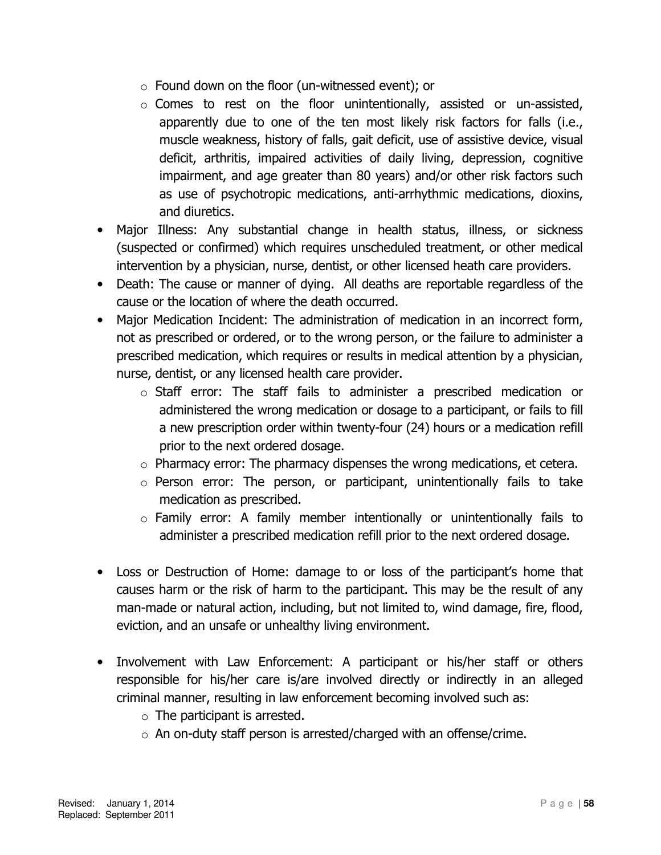- o Found down on the floor (un-witnessed event); or
- $\circ$  Comes to rest on the floor unintentionally, assisted or un-assisted, apparently due to one of the ten most likely risk factors for falls (i.e., muscle weakness, history of falls, gait deficit, use of assistive device, visual deficit, arthritis, impaired activities of daily living, depression, cognitive impairment, and age greater than 80 years) and/or other risk factors such as use of psychotropic medications, anti-arrhythmic medications, dioxins, and diuretics.
- Major Illness: Any substantial change in health status, illness, or sickness (suspected or confirmed) which requires unscheduled treatment, or other medical intervention by a physician, nurse, dentist, or other licensed heath care providers.
- Death: The cause or manner of dying. All deaths are reportable regardless of the cause or the location of where the death occurred.
- Major Medication Incident: The administration of medication in an incorrect form, not as prescribed or ordered, or to the wrong person, or the failure to administer a prescribed medication, which requires or results in medical attention by a physician, nurse, dentist, or any licensed health care provider.
	- o Staff error: The staff fails to administer a prescribed medication or administered the wrong medication or dosage to a participant, or fails to fill a new prescription order within twenty-four (24) hours or a medication refill prior to the next ordered dosage.
	- $\circ$  Pharmacy error: The pharmacy dispenses the wrong medications, et cetera.
	- $\circ$  Person error: The person, or participant, unintentionally fails to take medication as prescribed.
	- o Family error: A family member intentionally or unintentionally fails to administer a prescribed medication refill prior to the next ordered dosage.
- Loss or Destruction of Home: damage to or loss of the participant's home that causes harm or the risk of harm to the participant. This may be the result of any man-made or natural action, including, but not limited to, wind damage, fire, flood, eviction, and an unsafe or unhealthy living environment.
- Involvement with Law Enforcement: A participant or his/her staff or others responsible for his/her care is/are involved directly or indirectly in an alleged criminal manner, resulting in law enforcement becoming involved such as:
	- $\circ$  The participant is arrested.
	- $\circ$  An on-duty staff person is arrested/charged with an offense/crime.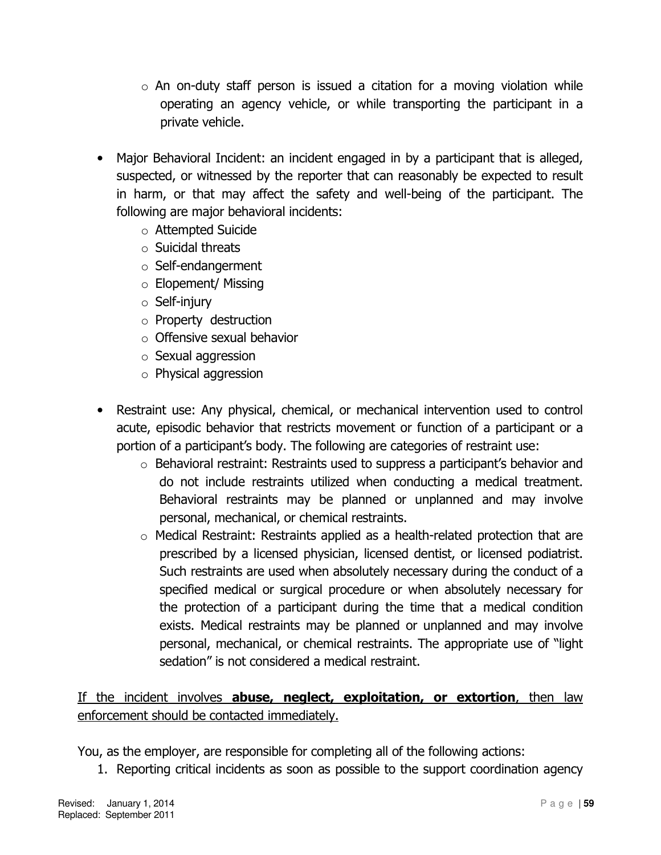- $\circ$  An on-duty staff person is issued a citation for a moving violation while operating an agency vehicle, or while transporting the participant in a private vehicle.
- Major Behavioral Incident: an incident engaged in by a participant that is alleged, suspected, or witnessed by the reporter that can reasonably be expected to result in harm, or that may affect the safety and well-being of the participant. The following are major behavioral incidents:
	- o Attempted Suicide
	- $\circ$  Suicidal threats
	- o Self-endangerment
	- o Elopement/ Missing
	- o Self-injury
	- o Property destruction
	- o Offensive sexual behavior
	- o Sexual aggression
	- o Physical aggression
- Restraint use: Any physical, chemical, or mechanical intervention used to control acute, episodic behavior that restricts movement or function of a participant or a portion of a participant's body. The following are categories of restraint use:
	- o Behavioral restraint: Restraints used to suppress a participant's behavior and do not include restraints utilized when conducting a medical treatment. Behavioral restraints may be planned or unplanned and may involve personal, mechanical, or chemical restraints.
	- o Medical Restraint: Restraints applied as a health-related protection that are prescribed by a licensed physician, licensed dentist, or licensed podiatrist. Such restraints are used when absolutely necessary during the conduct of a specified medical or surgical procedure or when absolutely necessary for the protection of a participant during the time that a medical condition exists. Medical restraints may be planned or unplanned and may involve personal, mechanical, or chemical restraints. The appropriate use of "light sedation" is not considered a medical restraint.

### If the incident involves abuse, neglect, exploitation, or extortion, then law enforcement should be contacted immediately.

You, as the employer, are responsible for completing all of the following actions:

1. Reporting critical incidents as soon as possible to the support coordination agency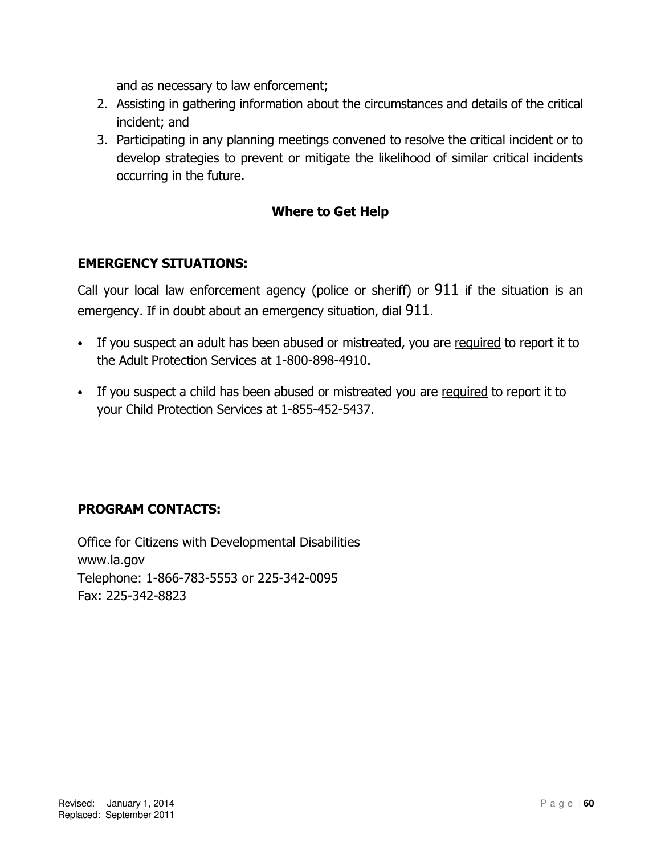and as necessary to law enforcement;

- 2. Assisting in gathering information about the circumstances and details of the critical incident; and
- 3. Participating in any planning meetings convened to resolve the critical incident or to develop strategies to prevent or mitigate the likelihood of similar critical incidents occurring in the future.

#### Where to Get Help

#### EMERGENCY SITUATIONS:

Call your local law enforcement agency (police or sheriff) or 911 if the situation is an emergency. If in doubt about an emergency situation, dial 911.

- If you suspect an adult has been abused or mistreated, you are required to report it to the Adult Protection Services at 1-800-898-4910.
- If you suspect a child has been abused or mistreated you are required to report it to your Child Protection Services at 1-855-452-5437.

#### PROGRAM CONTACTS:

Office for Citizens with Developmental Disabilities www.la.gov Telephone: 1-866-783-5553 or 225-342-0095 Fax: 225-342-8823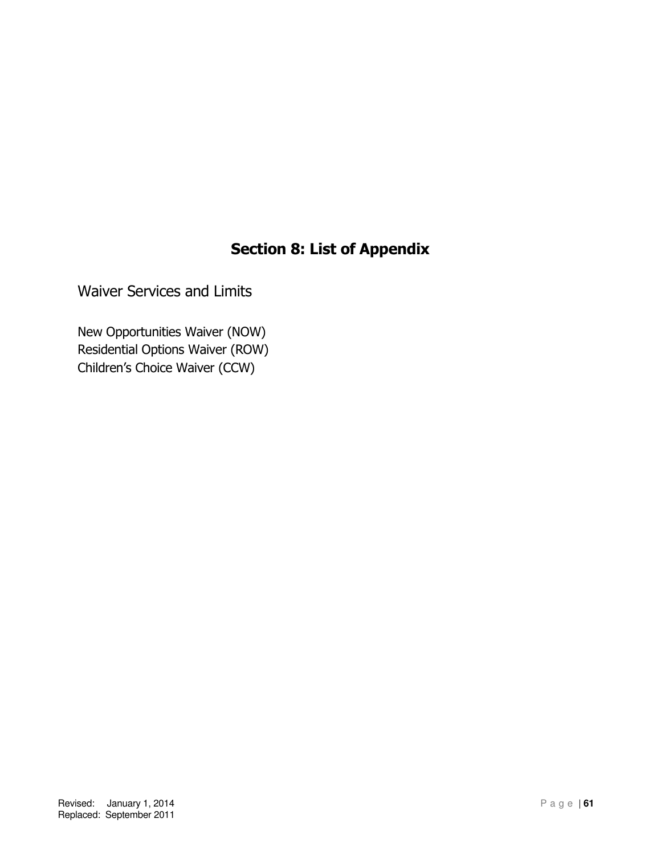# Section 8: List of Appendix

Waiver Services and Limits

New Opportunities Waiver (NOW) Residential Options Waiver (ROW) Children's Choice Waiver (CCW)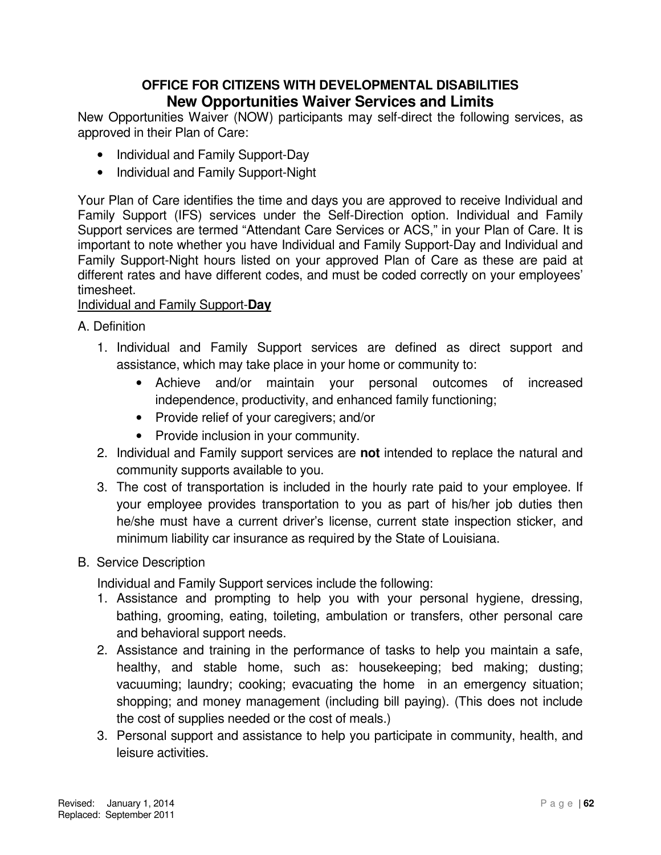# **OFFICE FOR CITIZENS WITH DEVELOPMENTAL DISABILITIES New Opportunities Waiver Services and Limits**

New Opportunities Waiver (NOW) participants may self-direct the following services, as approved in their Plan of Care:

- Individual and Family Support-Day
- Individual and Family Support-Night

Your Plan of Care identifies the time and days you are approved to receive Individual and Family Support (IFS) services under the Self-Direction option. Individual and Family Support services are termed "Attendant Care Services or ACS," in your Plan of Care. It is important to note whether you have Individual and Family Support-Day and Individual and Family Support-Night hours listed on your approved Plan of Care as these are paid at different rates and have different codes, and must be coded correctly on your employees' timesheet.

#### Individual and Family Support-**Day**

A. Definition

- 1. Individual and Family Support services are defined as direct support and assistance, which may take place in your home or community to:
	- Achieve and/or maintain your personal outcomes of increased independence, productivity, and enhanced family functioning;
	- Provide relief of your caregivers; and/or
	- Provide inclusion in your community.
- 2. Individual and Family support services are **not** intended to replace the natural and community supports available to you.
- 3. The cost of transportation is included in the hourly rate paid to your employee. If your employee provides transportation to you as part of his/her job duties then he/she must have a current driver's license, current state inspection sticker, and minimum liability car insurance as required by the State of Louisiana.

#### B. Service Description

Individual and Family Support services include the following:

- 1. Assistance and prompting to help you with your personal hygiene, dressing, bathing, grooming, eating, toileting, ambulation or transfers, other personal care and behavioral support needs.
- 2. Assistance and training in the performance of tasks to help you maintain a safe, healthy, and stable home, such as: housekeeping; bed making; dusting; vacuuming; laundry; cooking; evacuating the home in an emergency situation; shopping; and money management (including bill paying). (This does not include the cost of supplies needed or the cost of meals.)
- 3. Personal support and assistance to help you participate in community, health, and leisure activities.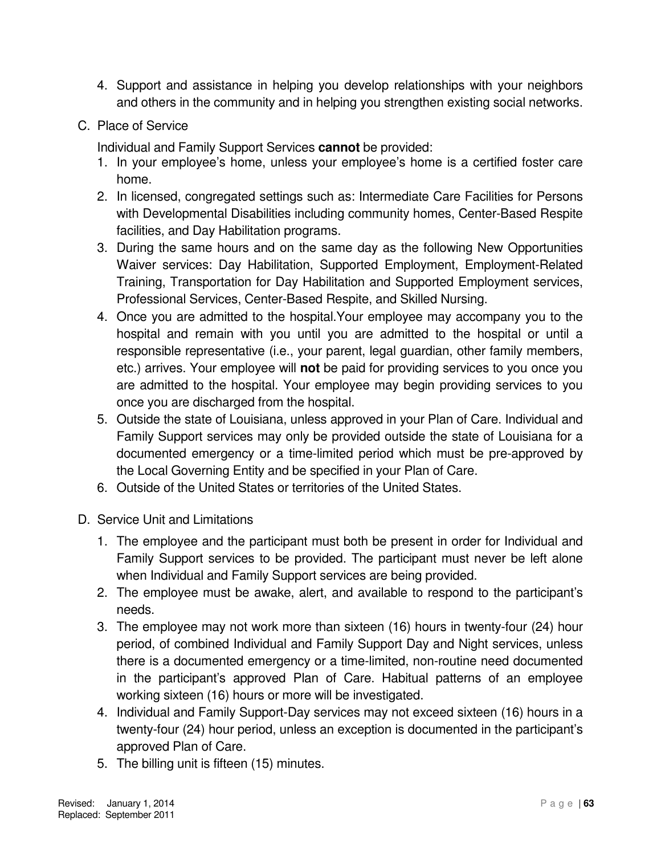- 4. Support and assistance in helping you develop relationships with your neighbors and others in the community and in helping you strengthen existing social networks.
- C. Place of Service

Individual and Family Support Services **cannot** be provided:

- 1. In your employee's home, unless your employee's home is a certified foster care home.
- 2. In licensed, congregated settings such as: Intermediate Care Facilities for Persons with Developmental Disabilities including community homes, Center-Based Respite facilities, and Day Habilitation programs.
- 3. During the same hours and on the same day as the following New Opportunities Waiver services: Day Habilitation, Supported Employment, Employment-Related Training, Transportation for Day Habilitation and Supported Employment services, Professional Services, Center-Based Respite, and Skilled Nursing.
- 4. Once you are admitted to the hospital.Your employee may accompany you to the hospital and remain with you until you are admitted to the hospital or until a responsible representative (i.e., your parent, legal guardian, other family members, etc.) arrives. Your employee will **not** be paid for providing services to you once you are admitted to the hospital. Your employee may begin providing services to you once you are discharged from the hospital.
- 5. Outside the state of Louisiana, unless approved in your Plan of Care. Individual and Family Support services may only be provided outside the state of Louisiana for a documented emergency or a time-limited period which must be pre-approved by the Local Governing Entity and be specified in your Plan of Care.
- 6. Outside of the United States or territories of the United States.
- D. Service Unit and Limitations
	- 1. The employee and the participant must both be present in order for Individual and Family Support services to be provided. The participant must never be left alone when Individual and Family Support services are being provided.
	- 2. The employee must be awake, alert, and available to respond to the participant's needs.
	- 3. The employee may not work more than sixteen (16) hours in twenty-four (24) hour period, of combined Individual and Family Support Day and Night services, unless there is a documented emergency or a time-limited, non-routine need documented in the participant's approved Plan of Care. Habitual patterns of an employee working sixteen (16) hours or more will be investigated.
	- 4. Individual and Family Support-Day services may not exceed sixteen (16) hours in a twenty-four (24) hour period, unless an exception is documented in the participant's approved Plan of Care.
	- 5. The billing unit is fifteen (15) minutes.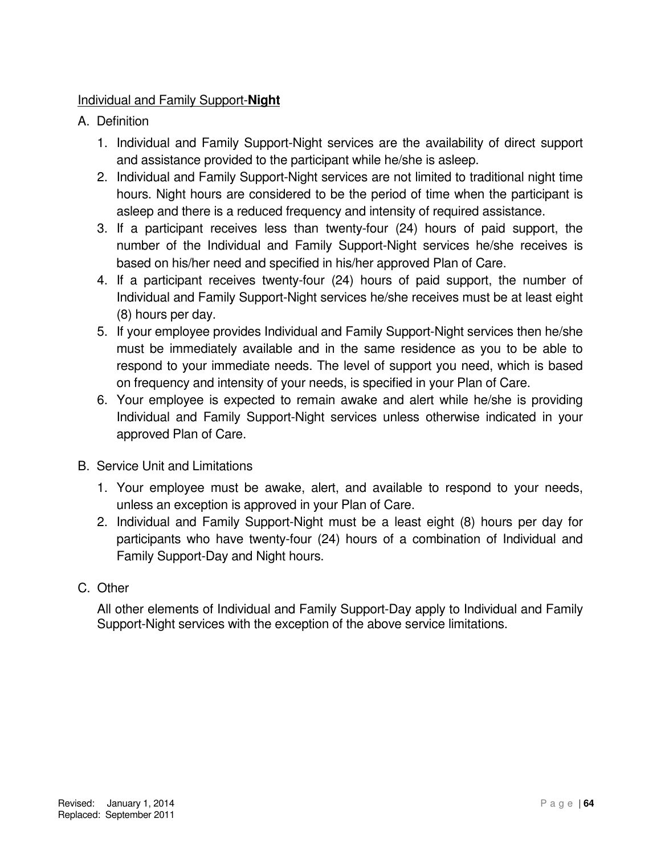#### Individual and Family Support-**Night**

#### A. Definition

- 1. Individual and Family Support-Night services are the availability of direct support and assistance provided to the participant while he/she is asleep.
- 2. Individual and Family Support-Night services are not limited to traditional night time hours. Night hours are considered to be the period of time when the participant is asleep and there is a reduced frequency and intensity of required assistance.
- 3. If a participant receives less than twenty-four (24) hours of paid support, the number of the Individual and Family Support-Night services he/she receives is based on his/her need and specified in his/her approved Plan of Care.
- 4. If a participant receives twenty-four (24) hours of paid support, the number of Individual and Family Support-Night services he/she receives must be at least eight (8) hours per day.
- 5. If your employee provides Individual and Family Support-Night services then he/she must be immediately available and in the same residence as you to be able to respond to your immediate needs. The level of support you need, which is based on frequency and intensity of your needs, is specified in your Plan of Care.
- 6. Your employee is expected to remain awake and alert while he/she is providing Individual and Family Support-Night services unless otherwise indicated in your approved Plan of Care.
- B. Service Unit and Limitations
	- 1. Your employee must be awake, alert, and available to respond to your needs, unless an exception is approved in your Plan of Care.
	- 2. Individual and Family Support-Night must be a least eight (8) hours per day for participants who have twenty-four (24) hours of a combination of Individual and Family Support-Day and Night hours.

#### C. Other

All other elements of Individual and Family Support-Day apply to Individual and Family Support-Night services with the exception of the above service limitations.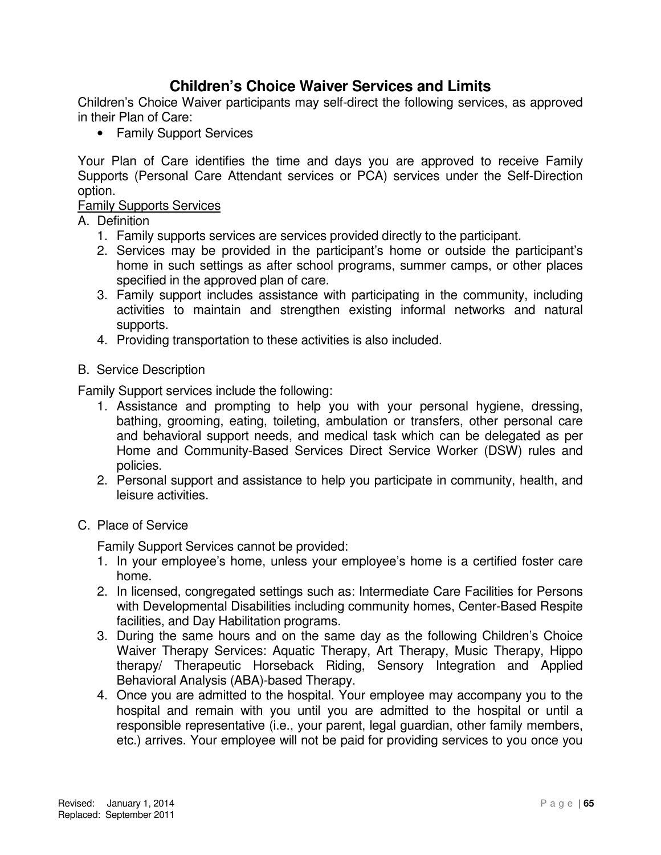# **Children's Choice Waiver Services and Limits**

Children's Choice Waiver participants may self-direct the following services, as approved in their Plan of Care:

• Family Support Services

Your Plan of Care identifies the time and days you are approved to receive Family Supports (Personal Care Attendant services or PCA) services under the Self-Direction option.

#### Family Supports Services

- A. Definition
	- 1. Family supports services are services provided directly to the participant.
	- 2. Services may be provided in the participant's home or outside the participant's home in such settings as after school programs, summer camps, or other places specified in the approved plan of care.
	- 3. Family support includes assistance with participating in the community, including activities to maintain and strengthen existing informal networks and natural supports.
	- 4. Providing transportation to these activities is also included.
- B. Service Description

Family Support services include the following:

- 1. Assistance and prompting to help you with your personal hygiene, dressing, bathing, grooming, eating, toileting, ambulation or transfers, other personal care and behavioral support needs, and medical task which can be delegated as per Home and Community-Based Services Direct Service Worker (DSW) rules and policies.
- 2. Personal support and assistance to help you participate in community, health, and leisure activities.
- C. Place of Service

Family Support Services cannot be provided:

- 1. In your employee's home, unless your employee's home is a certified foster care home.
- 2. In licensed, congregated settings such as: Intermediate Care Facilities for Persons with Developmental Disabilities including community homes, Center-Based Respite facilities, and Day Habilitation programs.
- 3. During the same hours and on the same day as the following Children's Choice Waiver Therapy Services: Aquatic Therapy, Art Therapy, Music Therapy, Hippo therapy/ Therapeutic Horseback Riding, Sensory Integration and Applied Behavioral Analysis (ABA)-based Therapy.
- 4. Once you are admitted to the hospital. Your employee may accompany you to the hospital and remain with you until you are admitted to the hospital or until a responsible representative (i.e., your parent, legal guardian, other family members, etc.) arrives. Your employee will not be paid for providing services to you once you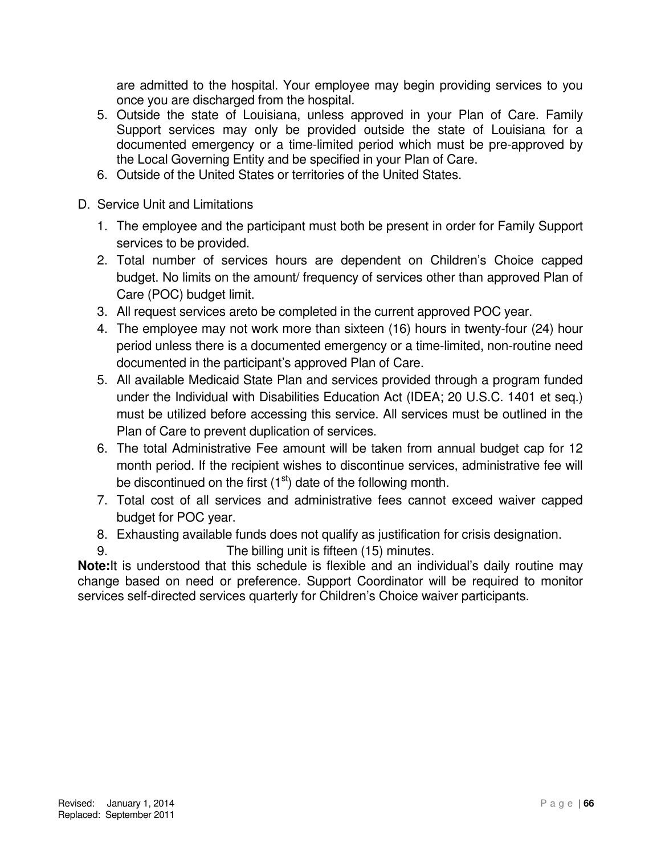are admitted to the hospital. Your employee may begin providing services to you once you are discharged from the hospital.

- 5. Outside the state of Louisiana, unless approved in your Plan of Care. Family Support services may only be provided outside the state of Louisiana for a documented emergency or a time-limited period which must be pre-approved by the Local Governing Entity and be specified in your Plan of Care.
- 6. Outside of the United States or territories of the United States.
- D. Service Unit and Limitations
	- 1. The employee and the participant must both be present in order for Family Support services to be provided.
	- 2. Total number of services hours are dependent on Children's Choice capped budget. No limits on the amount/ frequency of services other than approved Plan of Care (POC) budget limit.
	- 3. All request services areto be completed in the current approved POC year.
	- 4. The employee may not work more than sixteen (16) hours in twenty-four (24) hour period unless there is a documented emergency or a time-limited, non-routine need documented in the participant's approved Plan of Care.
	- 5. All available Medicaid State Plan and services provided through a program funded under the Individual with Disabilities Education Act (IDEA; 20 U.S.C. 1401 et seq.) must be utilized before accessing this service. All services must be outlined in the Plan of Care to prevent duplication of services.
	- 6. The total Administrative Fee amount will be taken from annual budget cap for 12 month period. If the recipient wishes to discontinue services, administrative fee will be discontinued on the first  $(1<sup>st</sup>)$  date of the following month.
	- 7. Total cost of all services and administrative fees cannot exceed waiver capped budget for POC year.
	- 8. Exhausting available funds does not qualify as justification for crisis designation.

9. The billing unit is fifteen (15) minutes.

**Note:**It is understood that this schedule is flexible and an individual's daily routine may change based on need or preference. Support Coordinator will be required to monitor services self-directed services quarterly for Children's Choice waiver participants.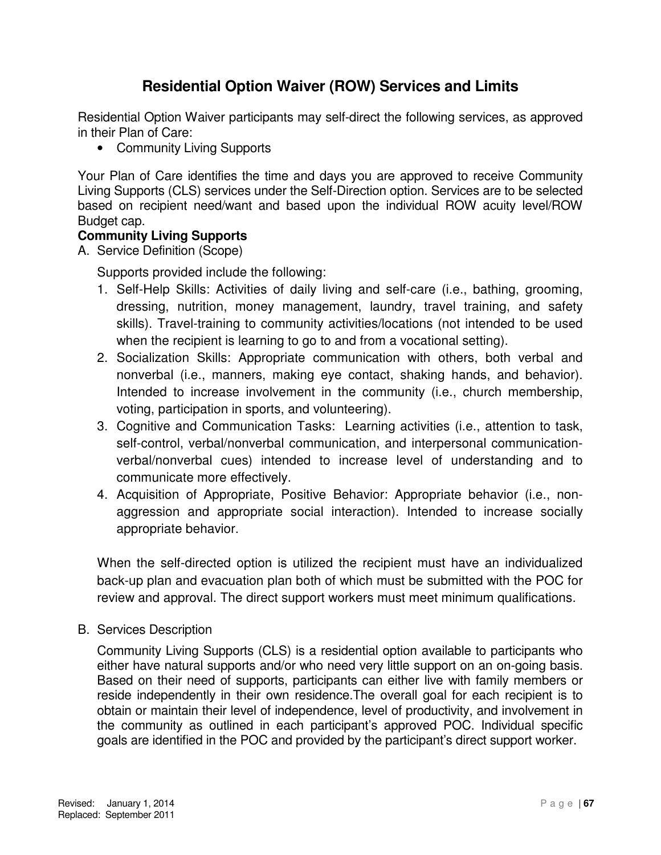# **Residential Option Waiver (ROW) Services and Limits**

Residential Option Waiver participants may self-direct the following services, as approved in their Plan of Care:

• Community Living Supports

Your Plan of Care identifies the time and days you are approved to receive Community Living Supports (CLS) services under the Self-Direction option. Services are to be selected based on recipient need/want and based upon the individual ROW acuity level/ROW Budget cap.

#### **Community Living Supports**

A. Service Definition (Scope)

Supports provided include the following:

- 1. Self-Help Skills: Activities of daily living and self-care (i.e., bathing, grooming, dressing, nutrition, money management, laundry, travel training, and safety skills). Travel-training to community activities/locations (not intended to be used when the recipient is learning to go to and from a vocational setting).
- 2. Socialization Skills: Appropriate communication with others, both verbal and nonverbal (i.e., manners, making eye contact, shaking hands, and behavior). Intended to increase involvement in the community (i.e., church membership, voting, participation in sports, and volunteering).
- 3. Cognitive and Communication Tasks: Learning activities (i.e., attention to task, self-control, verbal/nonverbal communication, and interpersonal communicationverbal/nonverbal cues) intended to increase level of understanding and to communicate more effectively.
- 4. Acquisition of Appropriate, Positive Behavior: Appropriate behavior (i.e., nonaggression and appropriate social interaction). Intended to increase socially appropriate behavior.

When the self-directed option is utilized the recipient must have an individualized back-up plan and evacuation plan both of which must be submitted with the POC for review and approval. The direct support workers must meet minimum qualifications.

B. Services Description

Community Living Supports (CLS) is a residential option available to participants who either have natural supports and/or who need very little support on an on-going basis. Based on their need of supports, participants can either live with family members or reside independently in their own residence.The overall goal for each recipient is to obtain or maintain their level of independence, level of productivity, and involvement in the community as outlined in each participant's approved POC. Individual specific goals are identified in the POC and provided by the participant's direct support worker.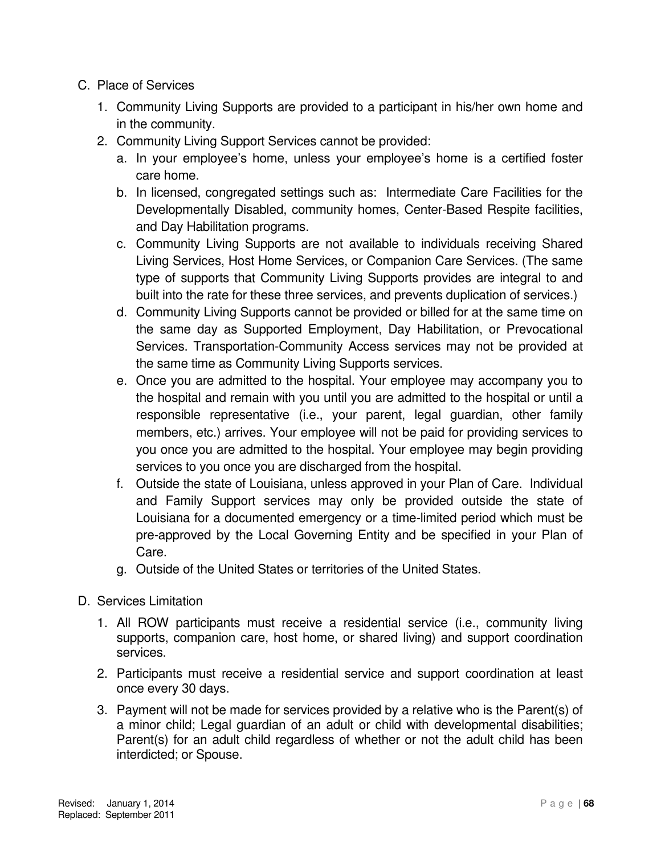- C. Place of Services
	- 1. Community Living Supports are provided to a participant in his/her own home and in the community.
	- 2. Community Living Support Services cannot be provided:
		- a. In your employee's home, unless your employee's home is a certified foster care home.
		- b. In licensed, congregated settings such as: Intermediate Care Facilities for the Developmentally Disabled, community homes, Center-Based Respite facilities, and Day Habilitation programs.
		- c. Community Living Supports are not available to individuals receiving Shared Living Services, Host Home Services, or Companion Care Services. (The same type of supports that Community Living Supports provides are integral to and built into the rate for these three services, and prevents duplication of services.)
		- d. Community Living Supports cannot be provided or billed for at the same time on the same day as Supported Employment, Day Habilitation, or Prevocational Services. Transportation-Community Access services may not be provided at the same time as Community Living Supports services.
		- e. Once you are admitted to the hospital. Your employee may accompany you to the hospital and remain with you until you are admitted to the hospital or until a responsible representative (i.e., your parent, legal guardian, other family members, etc.) arrives. Your employee will not be paid for providing services to you once you are admitted to the hospital. Your employee may begin providing services to you once you are discharged from the hospital.
		- f. Outside the state of Louisiana, unless approved in your Plan of Care. Individual and Family Support services may only be provided outside the state of Louisiana for a documented emergency or a time-limited period which must be pre-approved by the Local Governing Entity and be specified in your Plan of Care.
		- g. Outside of the United States or territories of the United States.
- D. Services Limitation
	- 1. All ROW participants must receive a residential service (i.e., community living supports, companion care, host home, or shared living) and support coordination services.
	- 2. Participants must receive a residential service and support coordination at least once every 30 days.
	- 3. Payment will not be made for services provided by a relative who is the Parent(s) of a minor child; Legal guardian of an adult or child with developmental disabilities; Parent(s) for an adult child regardless of whether or not the adult child has been interdicted; or Spouse.